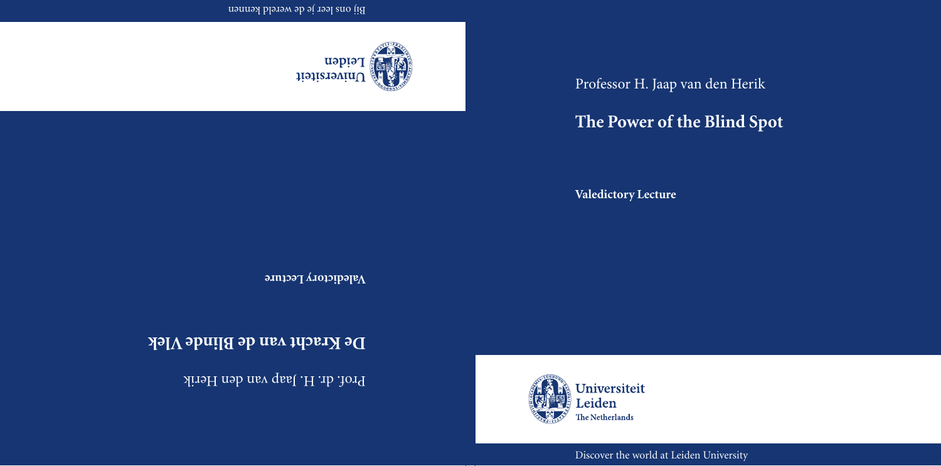Professor H. Jaap van den Herik

# **The Power of the Blind Spot**

**Valedictory Lecture**



Discover the world at Leiden University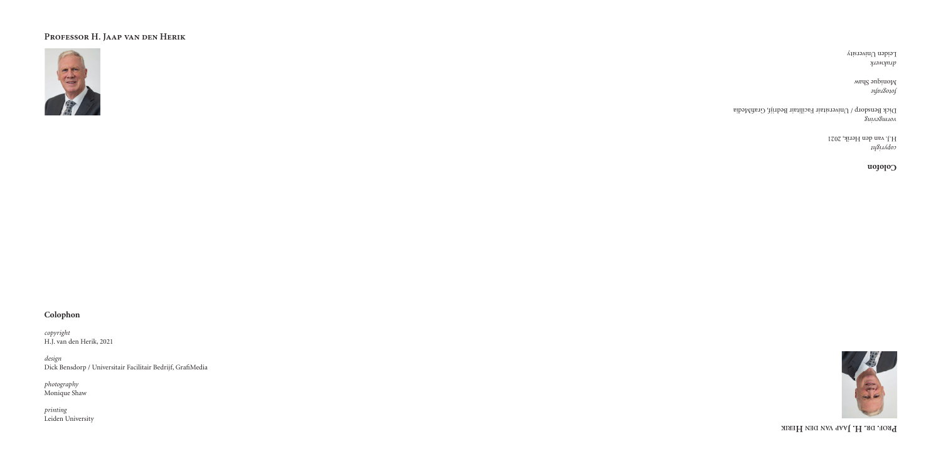## **Professor H. Jaap van den Herik**



## **Colophon**

*copyright* H.J. van den Herik, 2021

*design* Dick Bensdorp / Universitair Facilitair Bedrijf, GrafiMedia

*photography* Monique Shaw

*printing* Leiden University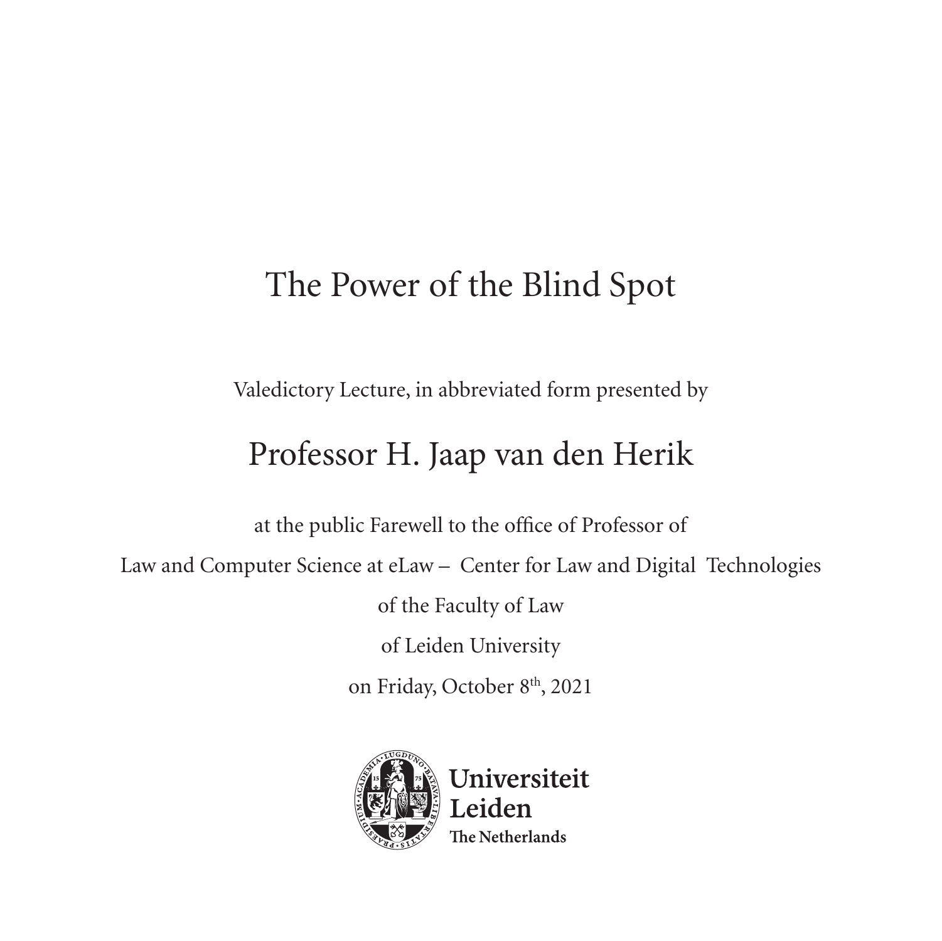# The Power of the Blind Spot

Valedictory Lecture, in abbreviated form presented by

## Professor H. Jaap van den Herik

at the public Farewell to the office of Professor of

Law and Computer Science at eLaw – Center for Law and Digital Technologies

of the Faculty of Law

of Leiden University

on Friday, October 8th, 2021

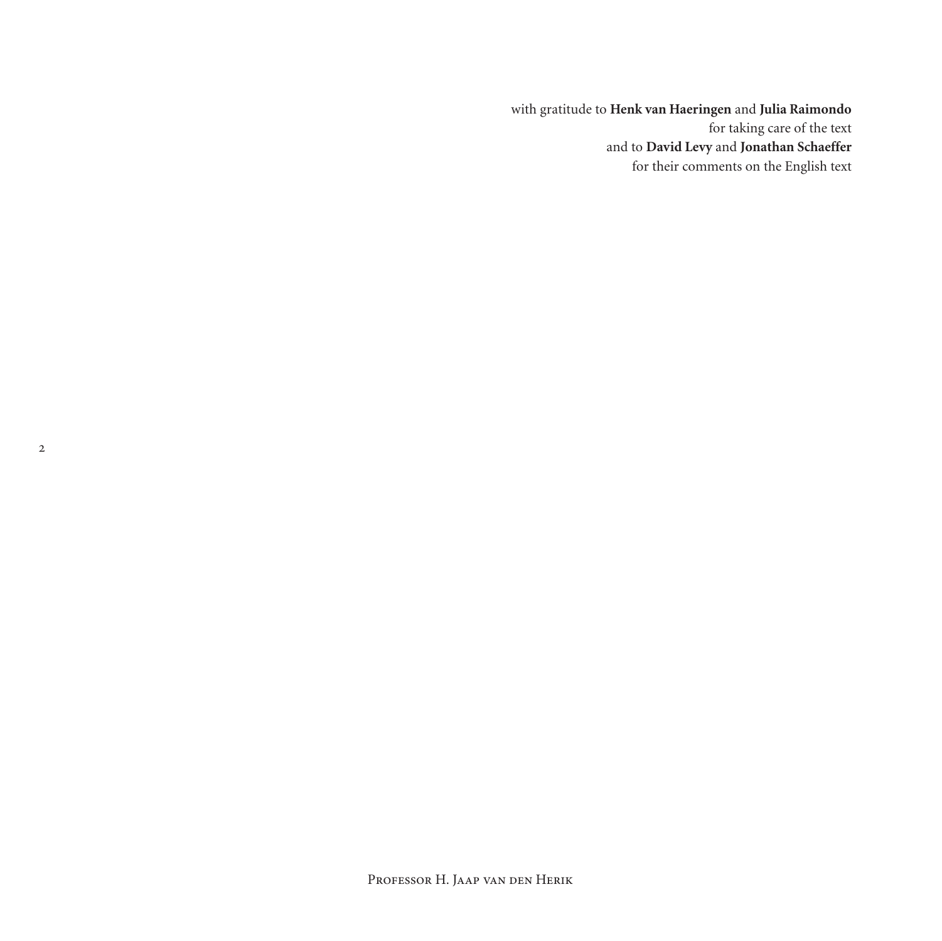with gratitude to **Henk van Haeringen** and **Julia Raimondo** for taking care of the text and to **David Levy** and **Jonathan Schaeffer** for their comments on the English text

 $\overline{2}$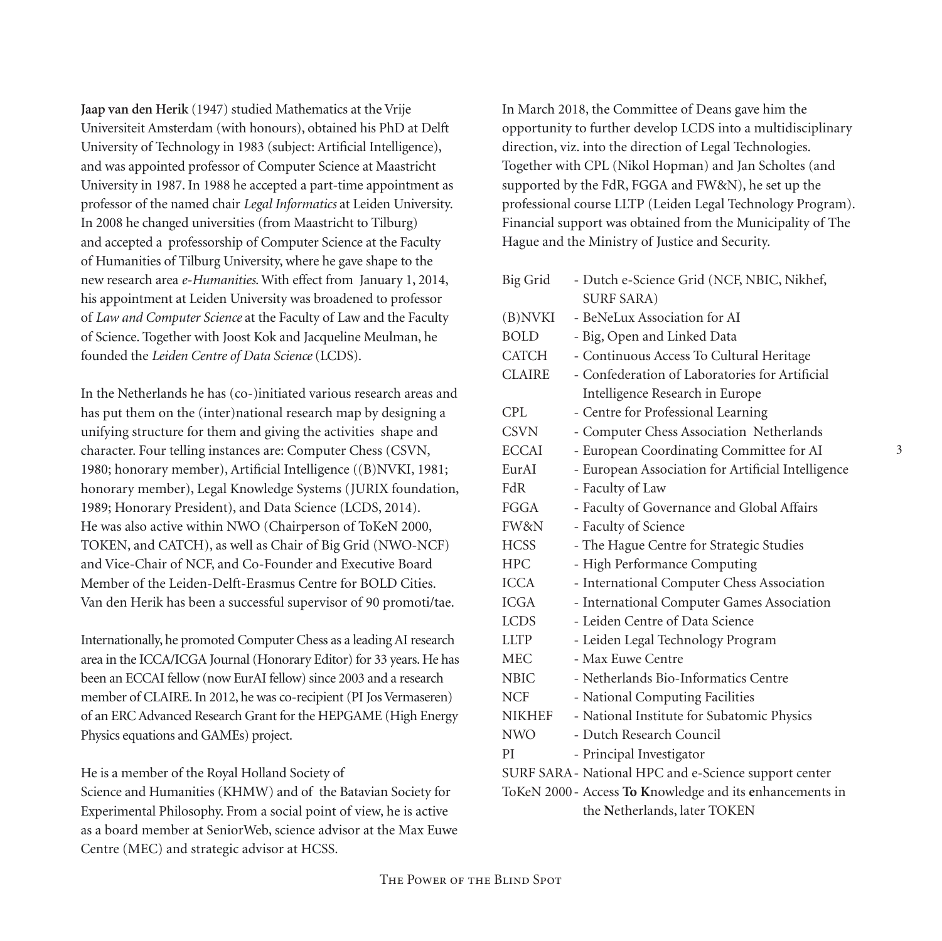**Jaap van den Herik** (1947) studied Mathematics at the Vrije Universiteit Amsterdam (with honours), obtained his PhD at Delft University of Technology in 1983 (subject: Artificial Intelligence), and was appointed professor of Computer Science at Maastricht University in 1987. In 1988 he accepted a part-time appointment as professor of the named chair *Legal Informatics* at Leiden University. In 2008 he changed universities (from Maastricht to Tilburg) and accepted a professorship of Computer Science at the Faculty of Humanities of Tilburg University, where he gave shape to the new research area *e-Humanities*. With effect from January 1, 2014, his appointment at Leiden University was broadened to professor of *Law and Computer Science* at the Faculty of Law and the Faculty of Science. Together with Joost Kok and Jacqueline Meulman, he founded the *Leiden Centre of Data Science* (LCDS).

In the Netherlands he has (co-)initiated various research areas and has put them on the (inter)national research map by designing a unifying structure for them and giving the activities shape and character. Four telling instances are: Computer Chess (CSVN, 1980; honorary member), Artificial Intelligence ((B)NVKI, 1981; honorary member), Legal Knowledge Systems (JURIX foundation, 1989; Honorary President), and Data Science (LCDS, 2014). He was also active within NWO (Chairperson of ToKeN 2000, TOKEN, and CATCH), as well as Chair of Big Grid (NWO-NCF) and Vice-Chair of NCF, and Co-Founder and Executive Board Member of the Leiden-Delft-Erasmus Centre for BOLD Cities. Van den Herik has been a successful supervisor of 90 promoti/tae.

Internationally, he promoted Computer Chess as a leading AI research area in the ICCA/ICGA Journal (Honorary Editor) for 33 years. He has been an ECCAI fellow (now EurAI fellow) since 2003 and a research member of CLAIRE. In 2012, he was co-recipient (PI Jos Vermaseren) of an ERC Advanced Research Grant for the HEPGAME (High Energy Physics equations and GAMEs) project.

He is a member of the Royal Holland Society of

Science and Humanities (KHMW) and of the Batavian Society for Experimental Philosophy. From a social point of view, he is active as a board member at SeniorWeb, science advisor at the Max Euwe Centre (MEC) and strategic advisor at HCSS.

In March 2018, the Committee of Deans gave him the opportunity to further develop LCDS into a multidisciplinary direction, viz. into the direction of Legal Technologies. Together with CPL (Nikol Hopman) and Jan Scholtes (and supported by the FdR, FGGA and FW&N), he set up the professional course LLTP (Leiden Legal Technology Program). Financial support was obtained from the Municipality of The Hague and the Ministry of Justice and Security.

| Big Grid                                                 | - Dutch e-Science Grid (NCF, NBIC, Nikhef,         |  |  |  |
|----------------------------------------------------------|----------------------------------------------------|--|--|--|
|                                                          | <b>SURF SARA)</b>                                  |  |  |  |
| (B)NVKI                                                  | - BeNeLux Association for AI                       |  |  |  |
| <b>BOLD</b>                                              | - Big, Open and Linked Data                        |  |  |  |
| CATCH                                                    | - Continuous Access To Cultural Heritage           |  |  |  |
| <b>CLAIRE</b>                                            | - Confederation of Laboratories for Artificial     |  |  |  |
|                                                          | Intelligence Research in Europe                    |  |  |  |
| CPL                                                      | - Centre for Professional Learning                 |  |  |  |
| <b>CSVN</b>                                              | - Computer Chess Association Netherlands           |  |  |  |
| ECCAI                                                    | - European Coordinating Committee for AI           |  |  |  |
| EurAI                                                    | - European Association for Artificial Intelligence |  |  |  |
| FdR                                                      | - Faculty of Law                                   |  |  |  |
| <b>FGGA</b>                                              | - Faculty of Governance and Global Affairs         |  |  |  |
| FW&N                                                     | - Faculty of Science                               |  |  |  |
| <b>HCSS</b>                                              | - The Hague Centre for Strategic Studies           |  |  |  |
| <b>HPC</b>                                               | - High Performance Computing                       |  |  |  |
| ICCA                                                     | - International Computer Chess Association         |  |  |  |
| <b>ICGA</b>                                              | - International Computer Games Association         |  |  |  |
| <b>LCDS</b>                                              | - Leiden Centre of Data Science                    |  |  |  |
| <b>LLTP</b>                                              | - Leiden Legal Technology Program                  |  |  |  |
| MEC                                                      | - Max Euwe Centre                                  |  |  |  |
| <b>NBIC</b>                                              | - Netherlands Bio-Informatics Centre               |  |  |  |
| NCF.                                                     | - National Computing Facilities                    |  |  |  |
| <b>NIKHEF</b>                                            | - National Institute for Subatomic Physics         |  |  |  |
| <b>NWO</b>                                               | - Dutch Research Council                           |  |  |  |
| PI                                                       | - Principal Investigator                           |  |  |  |
| SURF SARA - National HPC and e-Science support center    |                                                    |  |  |  |
| ToKeN 2000 - Access To Knowledge and its enhancements in |                                                    |  |  |  |
| the Netherlands, later TOKEN                             |                                                    |  |  |  |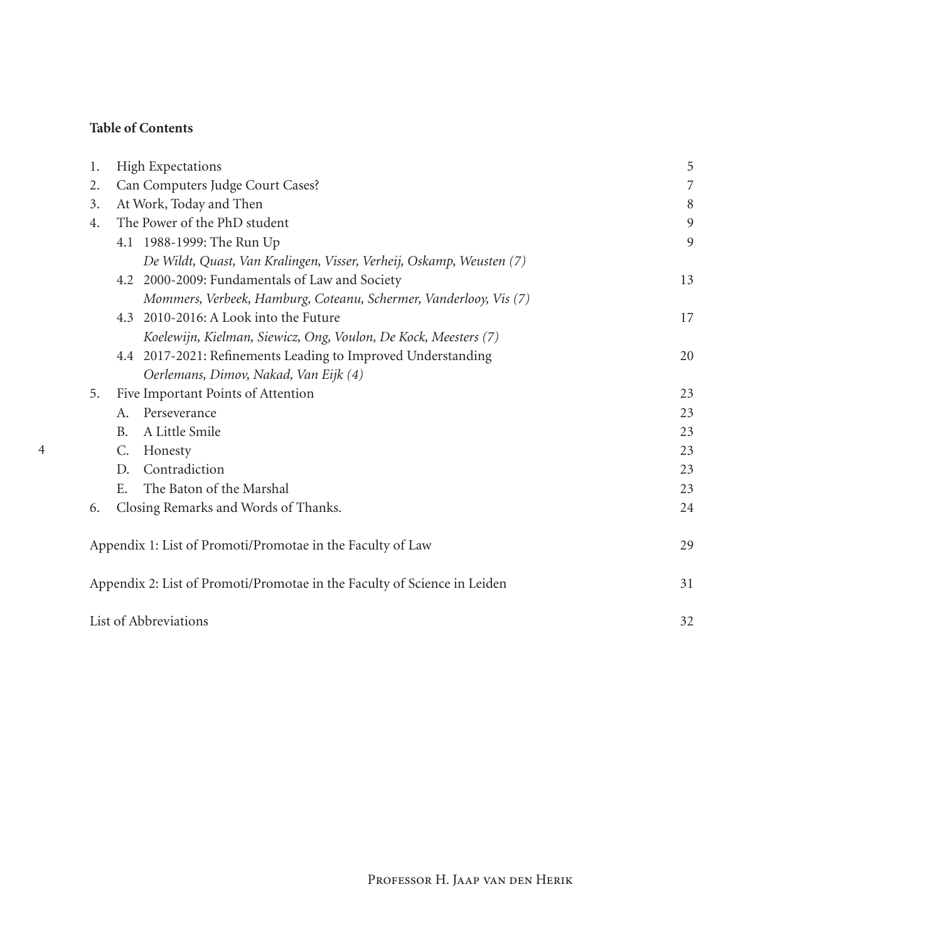## **Table of Contents**

| 1. | <b>High Expectations</b>                                                 |    |  |
|----|--------------------------------------------------------------------------|----|--|
| 2. | Can Computers Judge Court Cases?                                         |    |  |
| 3. | At Work, Today and Then<br>8                                             |    |  |
| 4. | The Power of the PhD student                                             | 9  |  |
|    | 4.1 1988-1999: The Run Up                                                | 9  |  |
|    | De Wildt, Quast, Van Kralingen, Visser, Verheij, Oskamp, Weusten (7)     |    |  |
|    | 4.2 2000-2009: Fundamentals of Law and Society                           | 13 |  |
|    | Mommers, Verbeek, Hamburg, Coteanu, Schermer, Vanderlooy, Vis (7)        |    |  |
|    | 4.3 2010-2016: A Look into the Future                                    | 17 |  |
|    | Koelewijn, Kielman, Siewicz, Ong, Voulon, De Kock, Meesters (7)          |    |  |
|    | 4.4 2017-2021: Refinements Leading to Improved Understanding             | 20 |  |
|    | Oerlemans, Dimov, Nakad, Van Eijk (4)                                    |    |  |
| 5. | Five Important Points of Attention                                       | 23 |  |
|    | Perseverance<br>A.                                                       | 23 |  |
|    | A Little Smile<br><b>B.</b>                                              | 23 |  |
|    | C.<br>Honesty                                                            | 23 |  |
|    | Contradiction<br>D.                                                      | 23 |  |
|    | The Baton of the Marshal<br>E.                                           | 23 |  |
| 6. | Closing Remarks and Words of Thanks.                                     | 24 |  |
|    | Appendix 1: List of Promoti/Promotae in the Faculty of Law               | 29 |  |
|    | Appendix 2: List of Promoti/Promotae in the Faculty of Science in Leiden | 31 |  |
|    | List of Abbreviations                                                    | 32 |  |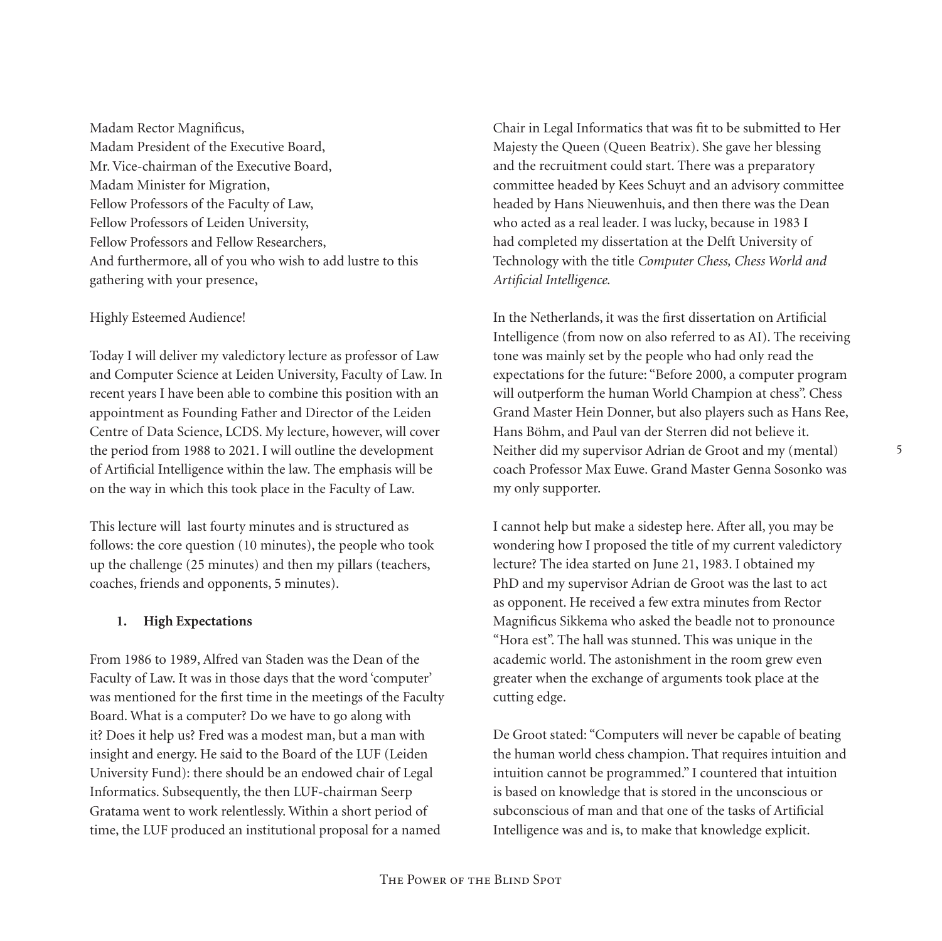Madam Rector Magnificus, Madam President of the Executive Board, Mr. Vice-chairman of the Executive Board, Madam Minister for Migration, Fellow Professors of the Faculty of Law, Fellow Professors of Leiden University, Fellow Professors and Fellow Researchers, And furthermore, all of you who wish to add lustre to this gathering with your presence,

### Highly Esteemed Audience!

Today I will deliver my valedictory lecture as professor of Law and Computer Science at Leiden University, Faculty of Law. In recent years I have been able to combine this position with an appointment as Founding Father and Director of the Leiden Centre of Data Science, LCDS. My lecture, however, will cover the period from 1988 to 2021. I will outline the development of Artificial Intelligence within the law. The emphasis will be on the way in which this took place in the Faculty of Law.

This lecture will last fourty minutes and is structured as follows: the core question (10 minutes), the people who took up the challenge (25 minutes) and then my pillars (teachers, coaches, friends and opponents, 5 minutes).

#### **1. High Expectations**

From 1986 to 1989, Alfred van Staden was the Dean of the Faculty of Law. It was in those days that the word 'computer' was mentioned for the first time in the meetings of the Faculty Board. What is a computer? Do we have to go along with it? Does it help us? Fred was a modest man, but a man with insight and energy. He said to the Board of the LUF (Leiden University Fund): there should be an endowed chair of Legal Informatics. Subsequently, the then LUF-chairman Seerp Gratama went to work relentlessly. Within a short period of time, the LUF produced an institutional proposal for a named

Chair in Legal Informatics that was fit to be submitted to Her Majesty the Queen (Queen Beatrix). She gave her blessing and the recruitment could start. There was a preparatory committee headed by Kees Schuyt and an advisory committee headed by Hans Nieuwenhuis, and then there was the Dean who acted as a real leader. I was lucky, because in 1983 I had completed my dissertation at the Delft University of Technology with the title *Computer Chess, Chess World and Artificial Intelligence*.

In the Netherlands, it was the first dissertation on Artificial Intelligence (from now on also referred to as AI). The receiving tone was mainly set by the people who had only read the expectations for the future: "Before 2000, a computer program will outperform the human World Champion at chess". Chess Grand Master Hein Donner, but also players such as Hans Ree, Hans Böhm, and Paul van der Sterren did not believe it. Neither did my supervisor Adrian de Groot and my (mental) coach Professor Max Euwe. Grand Master Genna Sosonko was my only supporter.

I cannot help but make a sidestep here. After all, you may be wondering how I proposed the title of my current valedictory lecture? The idea started on June 21, 1983. I obtained my PhD and my supervisor Adrian de Groot was the last to act as opponent. He received a few extra minutes from Rector Magnificus Sikkema who asked the beadle not to pronounce "Hora est". The hall was stunned. This was unique in the academic world. The astonishment in the room grew even greater when the exchange of arguments took place at the cutting edge.

De Groot stated: "Computers will never be capable of beating the human world chess champion. That requires intuition and intuition cannot be programmed." I countered that intuition is based on knowledge that is stored in the unconscious or subconscious of man and that one of the tasks of Artificial Intelligence was and is, to make that knowledge explicit.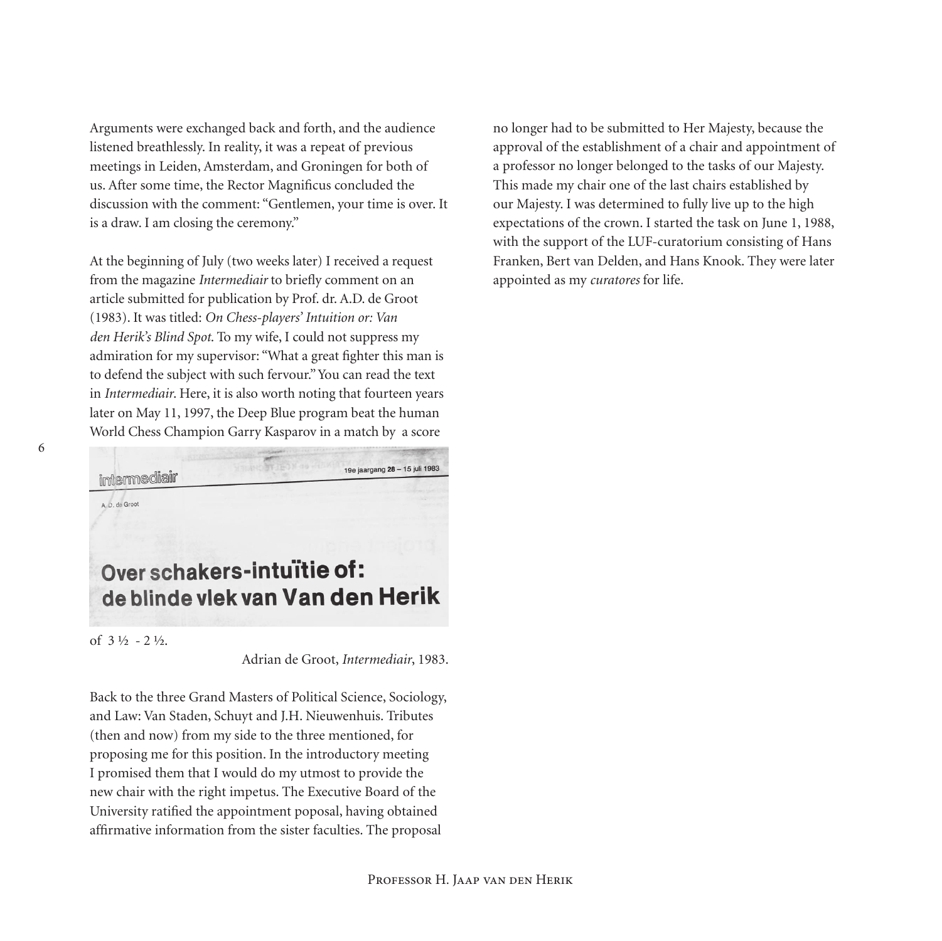Arguments were exchanged back and forth, and the audience listened breathlessly. In reality, it was a repeat of previous meetings in Leiden, Amsterdam, and Groningen for both of us. After some time, the Rector Magnificus concluded the discussion with the comment: "Gentlemen, your time is over. It is a draw. I am closing the ceremony."

At the beginning of July (two weeks later) I received a request from the magazine *Intermediair* to briefly comment on an article submitted for publication by Prof. dr. A.D. de Groot (1983). It was titled: *On Chess-players' Intuition or: Van den Herik's Blind Spot*. To my wife, I could not suppress my admiration for my supervisor: "What a great fighter this man is to defend the subject with such fervour." You can read the text in *Intermediair*. Here, it is also worth noting that fourteen years later on May 11, 1997, the Deep Blue program beat the human World Chess Champion Garry Kasparov in a match by a score

19e jaargang 28 - 15 juli 1983 intermediair A. D. de Groot Over schakers-intuïtie of: de blinde vlek van Van den Herik

of 3 ½ - 2 ½.

Adrian de Groot, *Intermediair*, 1983.

Back to the three Grand Masters of Political Science, Sociology, and Law: Van Staden, Schuyt and J.H. Nieuwenhuis. Tributes (then and now) from my side to the three mentioned, for proposing me for this position. In the introductory meeting I promised them that I would do my utmost to provide the new chair with the right impetus. The Executive Board of the University ratified the appointment poposal, having obtained affirmative information from the sister faculties. The proposal

no longer had to be submitted to Her Majesty, because the approval of the establishment of a chair and appointment of a professor no longer belonged to the tasks of our Majesty. This made my chair one of the last chairs established by our Majesty. I was determined to fully live up to the high expectations of the crown. I started the task on June 1, 1988, with the support of the LUF-curatorium consisting of Hans Franken, Bert van Delden, and Hans Knook. They were later appointed as my *curatores* for life.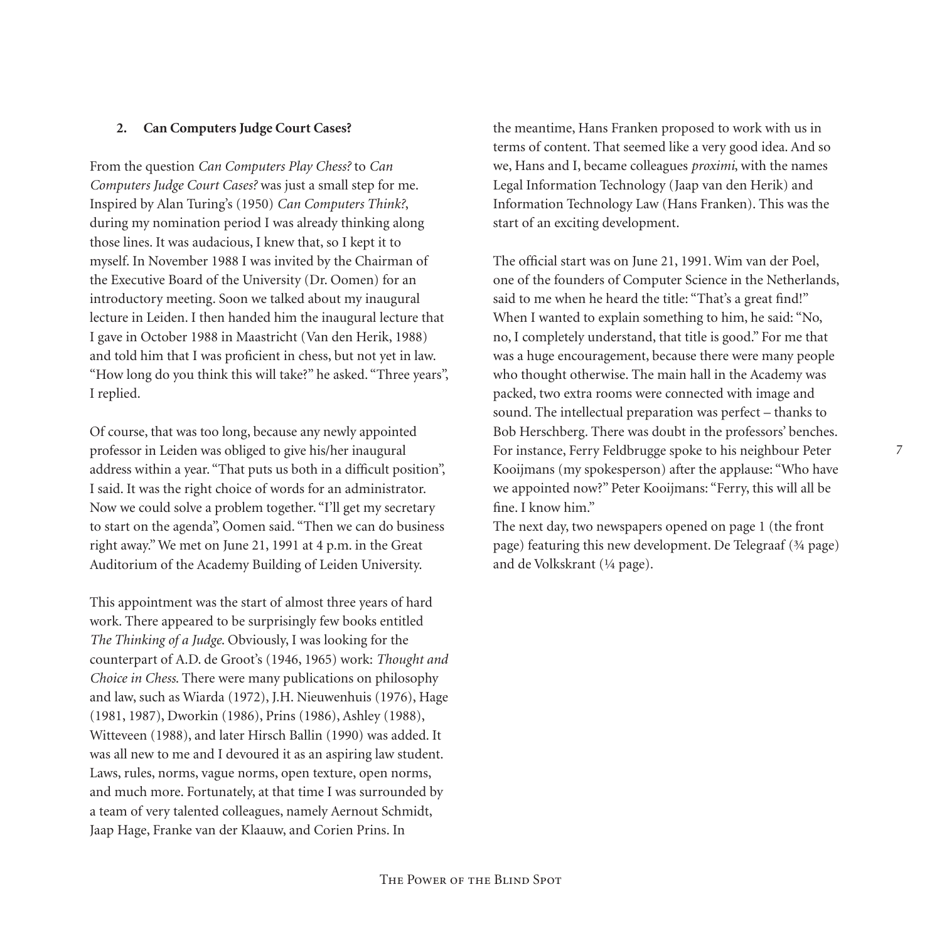## **2. Can Computers Judge Court Cases?**

From the question *Can Computers Play Chess?* to *Can Computers Judge Court Cases?* was just a small step for me. Inspired by Alan Turing's (1950) *Can Computers Think?*, during my nomination period I was already thinking along those lines. It was audacious, I knew that, so I kept it to myself. In November 1988 I was invited by the Chairman of the Executive Board of the University (Dr. Oomen) for an introductory meeting. Soon we talked about my inaugural lecture in Leiden. I then handed him the inaugural lecture that I gave in October 1988 in Maastricht (Van den Herik, 1988) and told him that I was proficient in chess, but not yet in law. "How long do you think this will take?" he asked. "Three years", I replied.

Of course, that was too long, because any newly appointed professor in Leiden was obliged to give his/her inaugural address within a year. "That puts us both in a difficult position", I said. It was the right choice of words for an administrator. Now we could solve a problem together. "I'll get my secretary to start on the agenda", Oomen said. "Then we can do business right away." We met on June 21, 1991 at 4 p.m. in the Great Auditorium of the Academy Building of Leiden University.

This appointment was the start of almost three years of hard work. There appeared to be surprisingly few books entitled *The Thinking of a Judge*. Obviously, I was looking for the counterpart of A.D. de Groot's (1946, 1965) work: *Thought and Choice in Chess*. There were many publications on philosophy and law, such as Wiarda (1972), J.H. Nieuwenhuis (1976), Hage (1981, 1987), Dworkin (1986), Prins (1986), Ashley (1988), Witteveen (1988), and later Hirsch Ballin (1990) was added. It was all new to me and I devoured it as an aspiring law student. Laws, rules, norms, vague norms, open texture, open norms, and much more. Fortunately, at that time I was surrounded by a team of very talented colleagues, namely Aernout Schmidt, Jaap Hage, Franke van der Klaauw, and Corien Prins. In

the meantime, Hans Franken proposed to work with us in terms of content. That seemed like a very good idea. And so we, Hans and I, became colleagues *proximi*, with the names Legal Information Technology (Jaap van den Herik) and Information Technology Law (Hans Franken). This was the start of an exciting development.

The official start was on June 21, 1991. Wim van der Poel, one of the founders of Computer Science in the Netherlands, said to me when he heard the title: "That's a great find!" When I wanted to explain something to him, he said: "No, no, I completely understand, that title is good." For me that was a huge encouragement, because there were many people who thought otherwise. The main hall in the Academy was packed, two extra rooms were connected with image and sound. The intellectual preparation was perfect – thanks to Bob Herschberg. There was doubt in the professors' benches. For instance, Ferry Feldbrugge spoke to his neighbour Peter Kooijmans (my spokesperson) after the applause: "Who have we appointed now?" Peter Kooijmans: "Ferry, this will all be fine. I know him."

The next day, two newspapers opened on page 1 (the front page) featuring this new development. De Telegraaf (¾ page) and de Volkskrant (¼ page).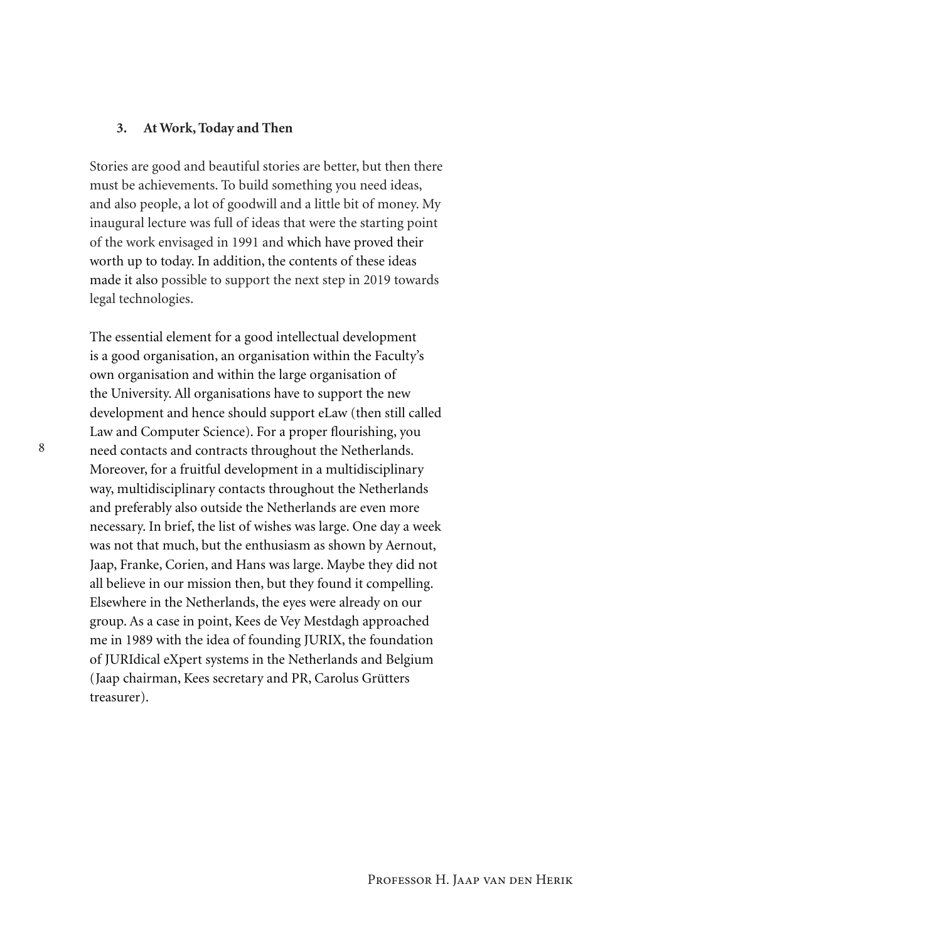### **3. At Work, Today and Then**

Stories are good and beautiful stories are better, but then there must be achievements. To build something you need ideas, and also people, a lot of goodwill and a little bit of money. My inaugural lecture was full of ideas that were the starting point of the work envisaged in 1991 and which have proved their worth up to today. In addition, the contents of these ideas made it also possible to support the next step in 2019 towards legal technologies.

The essential element for a good intellectual development is a good organisation, an organisation within the Faculty's own organisation and within the large organisation of the University. All organisations have to support the new development and hence should support eLaw (then still called Law and Computer Science). For a proper flourishing, you need contacts and contracts throughout the Netherlands. Moreover, for a fruitful development in a multidisciplinary way, multidisciplinary contacts throughout the Netherlands and preferably also outside the Netherlands are even more necessary. In brief, the list of wishes was large. One day a week was not that much, but the enthusiasm as shown by Aernout, Jaap, Franke, Corien, and Hans was large. Maybe they did not all believe in our mission then, but they found it compelling. Elsewhere in the Netherlands, the eyes were already on our group. As a case in point, Kees de Vey Mestdagh approached me in 1989 with the idea of founding JURIX, the foundation of JURIdical eXpert systems in the Netherlands and Belgium (Jaap chairman, Kees secretary and PR, Carolus Grütters treasurer).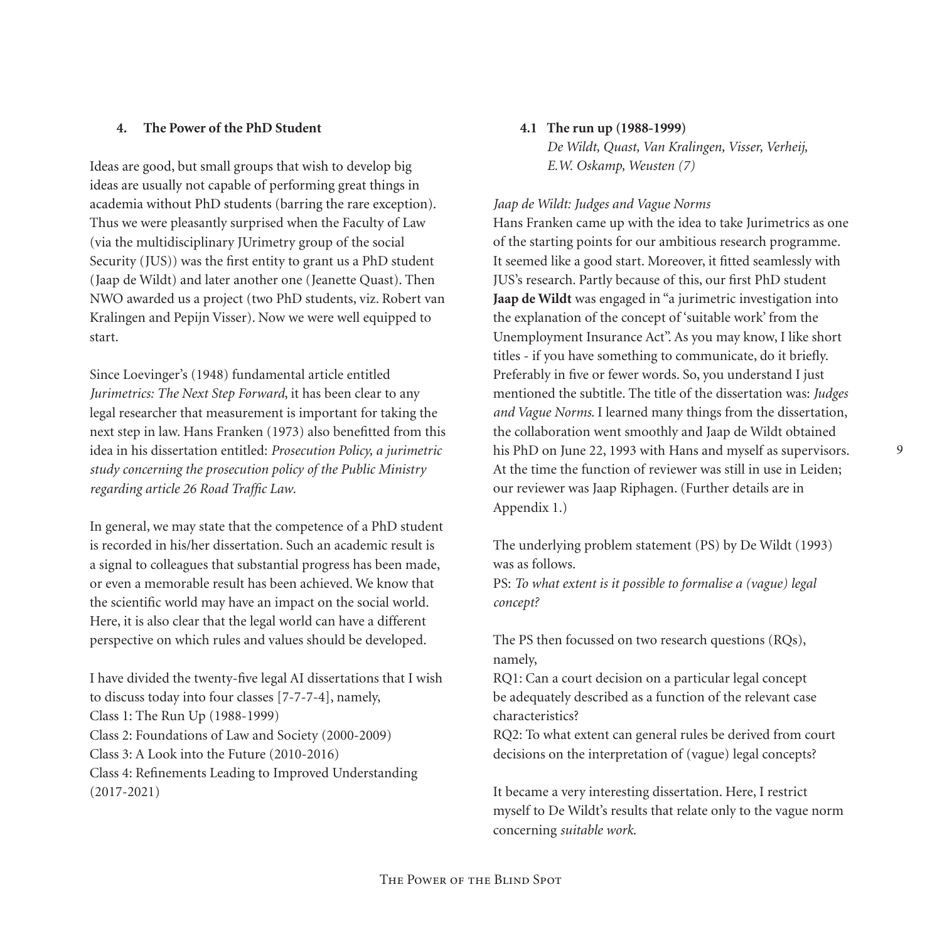## **4. The Power of the PhD Student**

Ideas are good, but small groups that wish to develop big ideas are usually not capable of performing great things in academia without PhD students (barring the rare exception). Thus we were pleasantly surprised when the Faculty of Law (via the multidisciplinary JUrimetry group of the social Security (JUS)) was the first entity to grant us a PhD student (Jaap de Wildt) and later another one (Jeanette Quast). Then NWO awarded us a project (two PhD students, viz. Robert van Kralingen and Pepijn Visser). Now we were well equipped to start.

Since Loevinger's (1948) fundamental article entitled *Jurimetrics: The Next Step Forward*, it has been clear to any legal researcher that measurement is important for taking the next step in law. Hans Franken (1973) also benefitted from this idea in his dissertation entitled: *Prosecution Policy, a jurimetric study concerning the prosecution policy of the Public Ministry regarding article 26 Road Traffic Law*.

In general, we may state that the competence of a PhD student is recorded in his/her dissertation. Such an academic result is a signal to colleagues that substantial progress has been made, or even a memorable result has been achieved. We know that the scientific world may have an impact on the social world. Here, it is also clear that the legal world can have a different perspective on which rules and values should be developed.

I have divided the twenty-five legal AI dissertations that I wish to discuss today into four classes [7-7-7-4], namely, Class 1: The Run Up (1988-1999) Class 2: Foundations of Law and Society (2000-2009) Class 3: A Look into the Future (2010-2016) Class 4: Refinements Leading to Improved Understanding (2017-2021)

## **4.1 The run up (1988-1999)**

*De Wildt, Quast, Van Kralingen, Visser, Verheij, E.W. Oskamp, Weusten (7)*

## *Jaap de Wildt: Judges and Vague Norms*

Hans Franken came up with the idea to take Jurimetrics as one of the starting points for our ambitious research programme. It seemed like a good start. Moreover, it fitted seamlessly with JUS's research. Partly because of this, our first PhD student **Jaap de Wildt** was engaged in "a jurimetric investigation into the explanation of the concept of 'suitable work' from the Unemployment Insurance Act". As you may know, I like short titles - if you have something to communicate, do it briefly. Preferably in five or fewer words. So, you understand I just mentioned the subtitle. The title of the dissertation was: *Judges and Vague Norms*. I learned many things from the dissertation, the collaboration went smoothly and Jaap de Wildt obtained his PhD on June 22, 1993 with Hans and myself as supervisors. At the time the function of reviewer was still in use in Leiden; our reviewer was Jaap Riphagen. (Further details are in Appendix 1.)

The underlying problem statement (PS) by De Wildt (1993) was as follows.

PS: *To what extent is it possible to formalise a (vague) legal concept?*

The PS then focussed on two research questions (RQs), namely,

RQ1: Can a court decision on a particular legal concept be adequately described as a function of the relevant case characteristics?

RQ2: To what extent can general rules be derived from court decisions on the interpretation of (vague) legal concepts?

It became a very interesting dissertation. Here, I restrict myself to De Wildt's results that relate only to the vague norm concerning *suitable work*.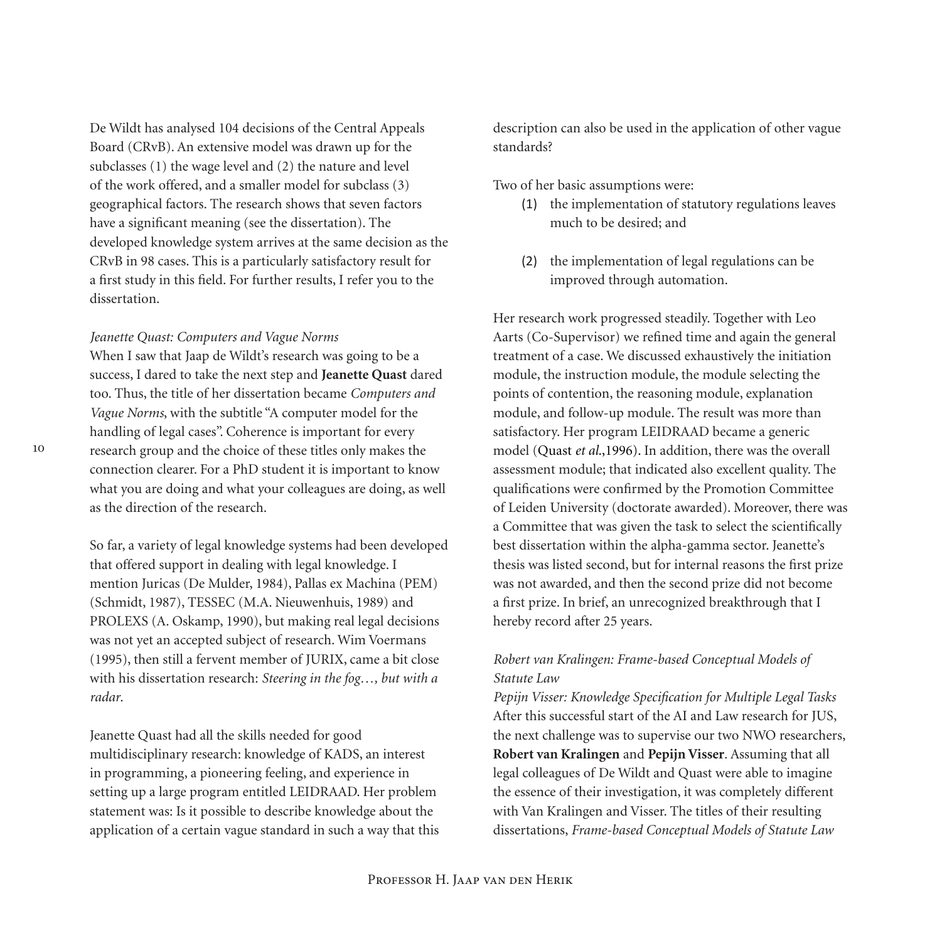De Wildt has analysed 104 decisions of the Central Appeals Board (CRvB). An extensive model was drawn up for the subclasses (1) the wage level and (2) the nature and level of the work offered, and a smaller model for subclass (3) geographical factors. The research shows that seven factors have a significant meaning (see the dissertation). The developed knowledge system arrives at the same decision as the CRvB in 98 cases. This is a particularly satisfactory result for a first study in this field. For further results, I refer you to the dissertation.

#### *Jeanette Quast: Computers and Vague Norms*

When I saw that Jaap de Wildt's research was going to be a success, I dared to take the next step and **Jeanette Quast** dared too. Thus, the title of her dissertation became *Computers and Vague Norms*, with the subtitle "A computer model for the handling of legal cases". Coherence is important for every research group and the choice of these titles only makes the connection clearer. For a PhD student it is important to know what you are doing and what your colleagues are doing, as well as the direction of the research.

So far, a variety of legal knowledge systems had been developed that offered support in dealing with legal knowledge. I mention Juricas (De Mulder, 1984), Pallas ex Machina (PEM) (Schmidt, 1987), TESSEC (M.A. Nieuwenhuis, 1989) and PROLEXS (A. Oskamp, 1990), but making real legal decisions was not yet an accepted subject of research. Wim Voermans (1995), then still a fervent member of JURIX, came a bit close with his dissertation research: *Steering in the fog…, but with a radar*.

Jeanette Quast had all the skills needed for good multidisciplinary research: knowledge of KADS, an interest in programming, a pioneering feeling, and experience in setting up a large program entitled LEIDRAAD. Her problem statement was: Is it possible to describe knowledge about the application of a certain vague standard in such a way that this description can also be used in the application of other vague standards?

Two of her basic assumptions were:

- (1) the implementation of statutory regulations leaves much to be desired; and
- (2) the implementation of legal regulations can be improved through automation.

Her research work progressed steadily. Together with Leo Aarts (Co-Supervisor) we refined time and again the general treatment of a case. We discussed exhaustively the initiation module, the instruction module, the module selecting the points of contention, the reasoning module, explanation module, and follow-up module. The result was more than satisfactory. Her program LEIDRAAD became a generic model (Quast *et al*.,1996). In addition, there was the overall assessment module; that indicated also excellent quality. The qualifications were confirmed by the Promotion Committee of Leiden University (doctorate awarded). Moreover, there was a Committee that was given the task to select the scientifically best dissertation within the alpha-gamma sector. Jeanette's thesis was listed second, but for internal reasons the first prize was not awarded, and then the second prize did not become a first prize. In brief, an unrecognized breakthrough that I hereby record after 25 years.

## *Robert van Kralingen: Frame-based Conceptual Models of Statute Law*

*Pepijn Visser: Knowledge Specification for Multiple Legal Tasks* After this successful start of the AI and Law research for JUS, the next challenge was to supervise our two NWO researchers, **Robert van Kralingen** and **Pepijn Visser**. Assuming that all legal colleagues of De Wildt and Quast were able to imagine the essence of their investigation, it was completely different with Van Kralingen and Visser. The titles of their resulting dissertations, *Frame-based Conceptual Models of Statute Law*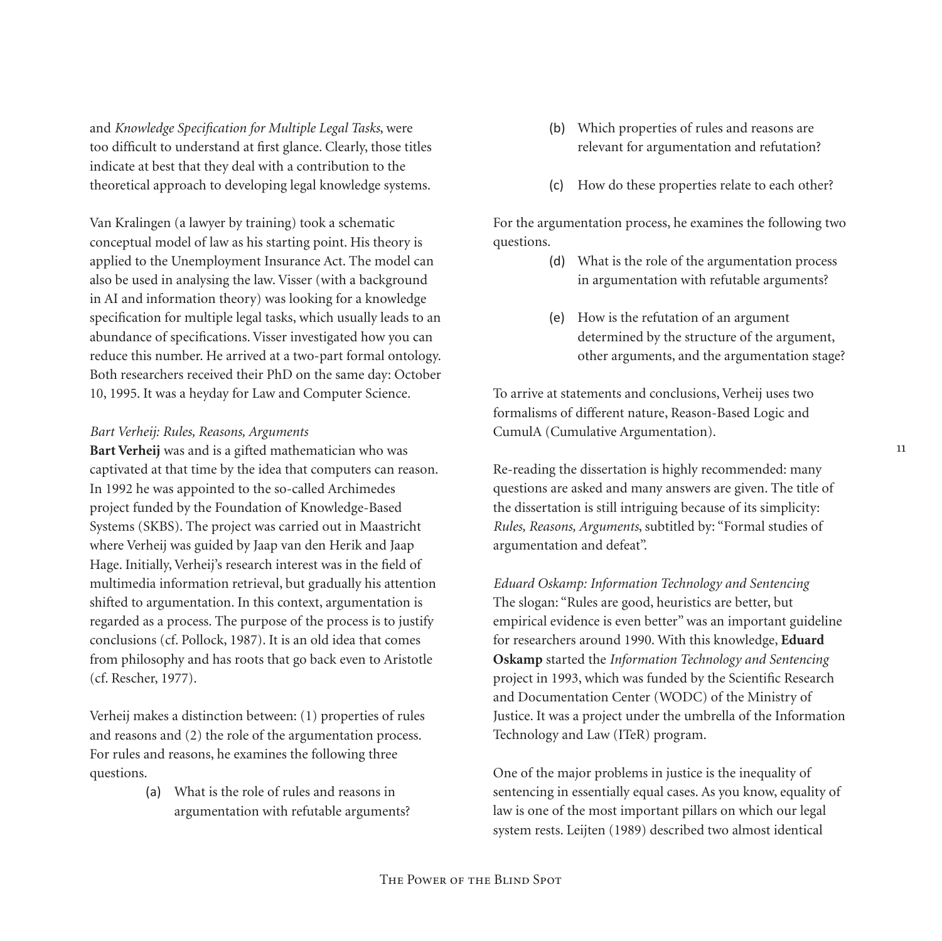and *Knowledge Specification for Multiple Legal Tasks*, were too difficult to understand at first glance. Clearly, those titles indicate at best that they deal with a contribution to the theoretical approach to developing legal knowledge systems.

Van Kralingen (a lawyer by training) took a schematic conceptual model of law as his starting point. His theory is applied to the Unemployment Insurance Act. The model can also be used in analysing the law. Visser (with a background in AI and information theory) was looking for a knowledge specification for multiple legal tasks, which usually leads to an abundance of specifications. Visser investigated how you can reduce this number. He arrived at a two-part formal ontology. Both researchers received their PhD on the same day: October 10, 1995. It was a heyday for Law and Computer Science.

### *Bart Verheij: Rules, Reasons, Arguments*

**Bart Verheij** was and is a gifted mathematician who was captivated at that time by the idea that computers can reason. In 1992 he was appointed to the so-called Archimedes project funded by the Foundation of Knowledge-Based Systems (SKBS). The project was carried out in Maastricht where Verheij was guided by Jaap van den Herik and Jaap Hage. Initially, Verheij's research interest was in the field of multimedia information retrieval, but gradually his attention shifted to argumentation. In this context, argumentation is regarded as a process. The purpose of the process is to justify conclusions (cf. Pollock, 1987). It is an old idea that comes from philosophy and has roots that go back even to Aristotle (cf. Rescher, 1977).

Verheij makes a distinction between: (1) properties of rules and reasons and (2) the role of the argumentation process. For rules and reasons, he examines the following three questions.

> (a) What is the role of rules and reasons in argumentation with refutable arguments?

- (b) Which properties of rules and reasons are relevant for argumentation and refutation?
- (c) How do these properties relate to each other?

For the argumentation process, he examines the following two questions.

- (d) What is the role of the argumentation process in argumentation with refutable arguments?
- (e) How is the refutation of an argument determined by the structure of the argument, other arguments, and the argumentation stage?

To arrive at statements and conclusions, Verheij uses two formalisms of different nature, Reason-Based Logic and CumulA (Cumulative Argumentation).

Re-reading the dissertation is highly recommended: many questions are asked and many answers are given. The title of the dissertation is still intriguing because of its simplicity: *Rules, Reasons, Arguments*, subtitled by: "Formal studies of argumentation and defeat".

*Eduard Oskamp: Information Technology and Sentencing* The slogan: "Rules are good, heuristics are better, but empirical evidence is even better" was an important guideline for researchers around 1990. With this knowledge, **Eduard Oskamp** started the *Information Technology and Sentencing* project in 1993, which was funded by the Scientific Research and Documentation Center (WODC) of the Ministry of Justice. It was a project under the umbrella of the Information Technology and Law (ITeR) program.

One of the major problems in justice is the inequality of sentencing in essentially equal cases. As you know, equality of law is one of the most important pillars on which our legal system rests. Leijten (1989) described two almost identical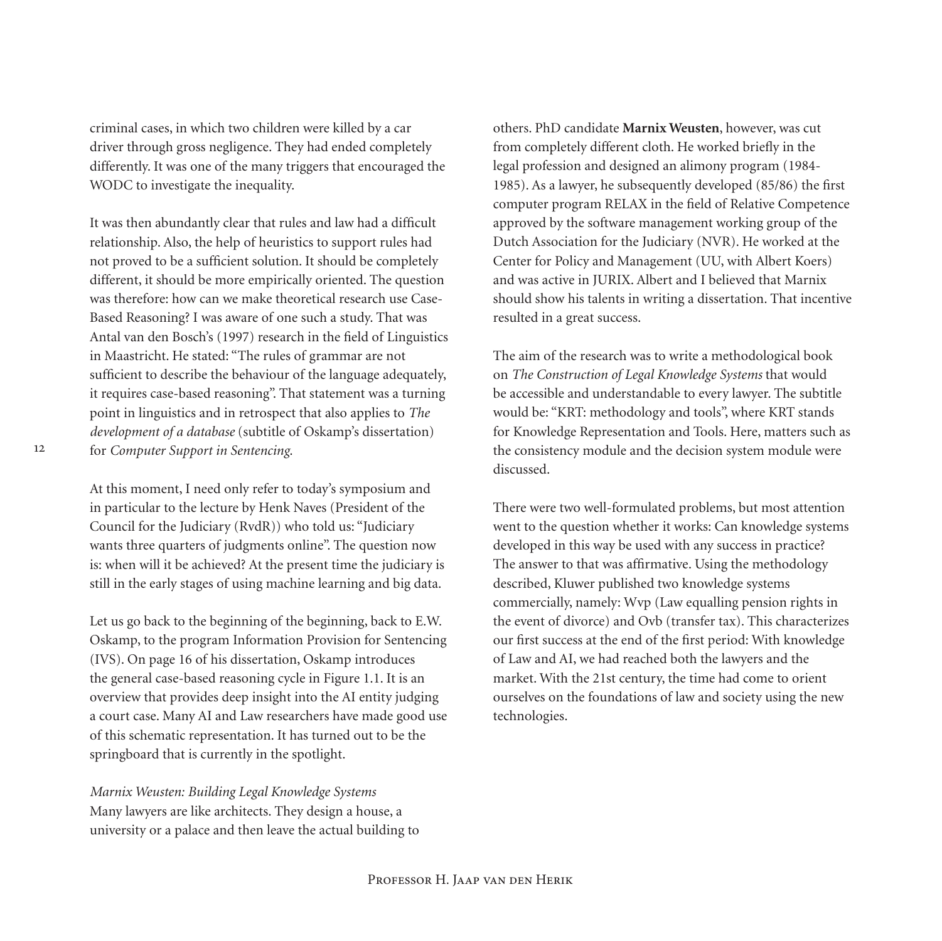criminal cases, in which two children were killed by a car driver through gross negligence. They had ended completely differently. It was one of the many triggers that encouraged the WODC to investigate the inequality.

It was then abundantly clear that rules and law had a difficult relationship. Also, the help of heuristics to support rules had not proved to be a sufficient solution. It should be completely different, it should be more empirically oriented. The question was therefore: how can we make theoretical research use Case-Based Reasoning? I was aware of one such a study. That was Antal van den Bosch's (1997) research in the field of Linguistics in Maastricht. He stated: "The rules of grammar are not sufficient to describe the behaviour of the language adequately, it requires case-based reasoning". That statement was a turning point in linguistics and in retrospect that also applies to *The development of a database* (subtitle of Oskamp's dissertation) for *Computer Support in Sentencing*.

At this moment, I need only refer to today's symposium and in particular to the lecture by Henk Naves (President of the Council for the Judiciary (RvdR)) who told us: "Judiciary wants three quarters of judgments online". The question now is: when will it be achieved? At the present time the judiciary is still in the early stages of using machine learning and big data.

Let us go back to the beginning of the beginning, back to E.W. Oskamp, to the program Information Provision for Sentencing (IVS). On page 16 of his dissertation, Oskamp introduces the general case-based reasoning cycle in Figure 1.1. It is an overview that provides deep insight into the AI entity judging a court case. Many AI and Law researchers have made good use of this schematic representation. It has turned out to be the springboard that is currently in the spotlight.

*Marnix Weusten: Building Legal Knowledge Systems* Many lawyers are like architects. They design a house, a university or a palace and then leave the actual building to others. PhD candidate **Marnix Weusten**, however, was cut from completely different cloth. He worked briefly in the legal profession and designed an alimony program (1984- 1985). As a lawyer, he subsequently developed (85/86) the first computer program RELAX in the field of Relative Competence approved by the software management working group of the Dutch Association for the Judiciary (NVR). He worked at the Center for Policy and Management (UU, with Albert Koers) and was active in JURIX. Albert and I believed that Marnix should show his talents in writing a dissertation. That incentive resulted in a great success.

The aim of the research was to write a methodological book on *The Construction of Legal Knowledge Systems* that would be accessible and understandable to every lawyer. The subtitle would be: "KRT: methodology and tools", where KRT stands for Knowledge Representation and Tools. Here, matters such as the consistency module and the decision system module were discussed.

There were two well-formulated problems, but most attention went to the question whether it works: Can knowledge systems developed in this way be used with any success in practice? The answer to that was affirmative. Using the methodology described, Kluwer published two knowledge systems commercially, namely: Wvp (Law equalling pension rights in the event of divorce) and Ovb (transfer tax). This characterizes our first success at the end of the first period: With knowledge of Law and AI, we had reached both the lawyers and the market. With the 21st century, the time had come to orient ourselves on the foundations of law and society using the new technologies.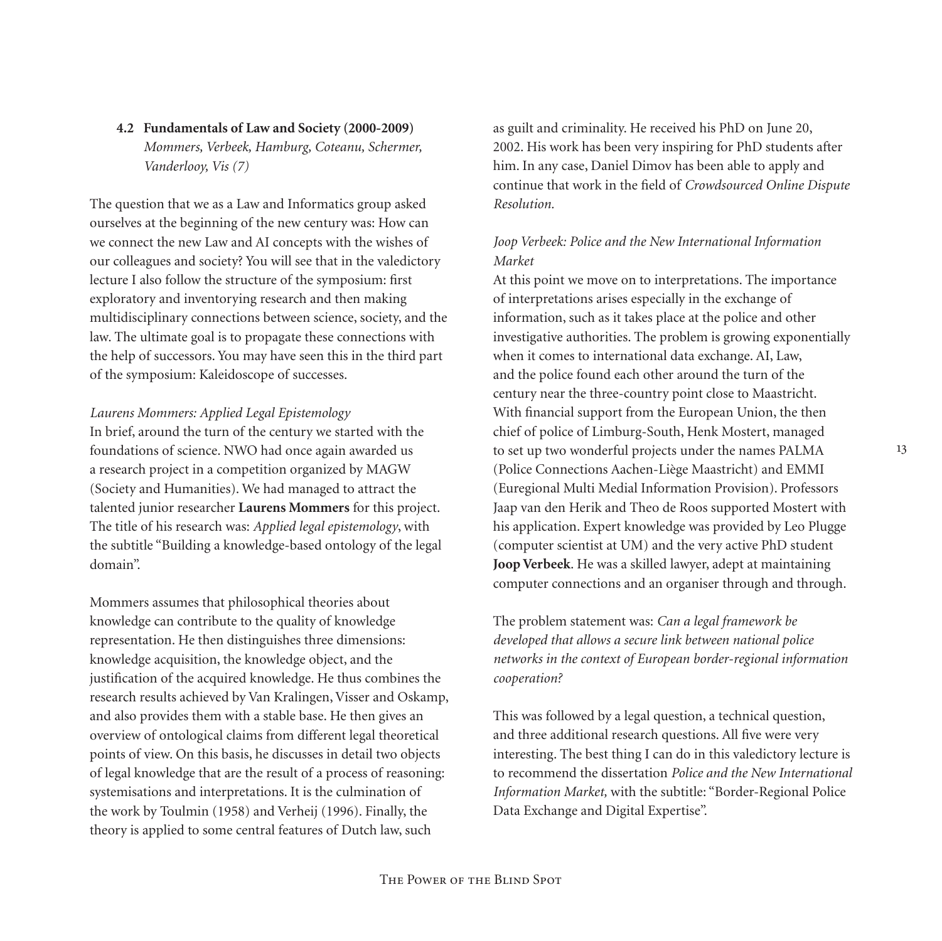**4.2 Fundamentals of Law and Society (2000-2009)** *Mommers, Verbeek, Hamburg, Coteanu, Schermer, Vanderlooy, Vis (7)*

The question that we as a Law and Informatics group asked ourselves at the beginning of the new century was: How can we connect the new Law and AI concepts with the wishes of our colleagues and society? You will see that in the valedictory lecture I also follow the structure of the symposium: first exploratory and inventorying research and then making multidisciplinary connections between science, society, and the law. The ultimate goal is to propagate these connections with the help of successors. You may have seen this in the third part of the symposium: Kaleidoscope of successes.

#### *Laurens Mommers: Applied Legal Epistemology*

In brief, around the turn of the century we started with the foundations of science. NWO had once again awarded us a research project in a competition organized by MAGW (Society and Humanities). We had managed to attract the talented junior researcher **Laurens Mommers** for this project. The title of his research was: *Applied legal epistemology*, with the subtitle "Building a knowledge-based ontology of the legal domain".

Mommers assumes that philosophical theories about knowledge can contribute to the quality of knowledge representation. He then distinguishes three dimensions: knowledge acquisition, the knowledge object, and the justification of the acquired knowledge. He thus combines the research results achieved by Van Kralingen, Visser and Oskamp, and also provides them with a stable base. He then gives an overview of ontological claims from different legal theoretical points of view. On this basis, he discusses in detail two objects of legal knowledge that are the result of a process of reasoning: systemisations and interpretations. It is the culmination of the work by Toulmin (1958) and Verheij (1996). Finally, the theory is applied to some central features of Dutch law, such

as guilt and criminality. He received his PhD on June 20, 2002. His work has been very inspiring for PhD students after him. In any case, Daniel Dimov has been able to apply and continue that work in the field of *Crowdsourced Online Dispute Resolution.*

## *Joop Verbeek: Police and the New International Information Market*

At this point we move on to interpretations. The importance of interpretations arises especially in the exchange of information, such as it takes place at the police and other investigative authorities. The problem is growing exponentially when it comes to international data exchange. AI, Law, and the police found each other around the turn of the century near the three-country point close to Maastricht. With financial support from the European Union, the then chief of police of Limburg-South, Henk Mostert, managed to set up two wonderful projects under the names PALMA (Police Connections Aachen-Liège Maastricht) and EMMI (Euregional Multi Medial Information Provision). Professors Jaap van den Herik and Theo de Roos supported Mostert with his application. Expert knowledge was provided by Leo Plugge (computer scientist at UM) and the very active PhD student **Joop Verbeek**. He was a skilled lawyer, adept at maintaining computer connections and an organiser through and through.

The problem statement was: *Can a legal framework be developed that allows a secure link between national police networks in the context of European border-regional information cooperation?*

This was followed by a legal question, a technical question, and three additional research questions. All five were very interesting. The best thing I can do in this valedictory lecture is to recommend the dissertation *Police and the New International Information Market,* with the subtitle: "Border-Regional Police Data Exchange and Digital Expertise".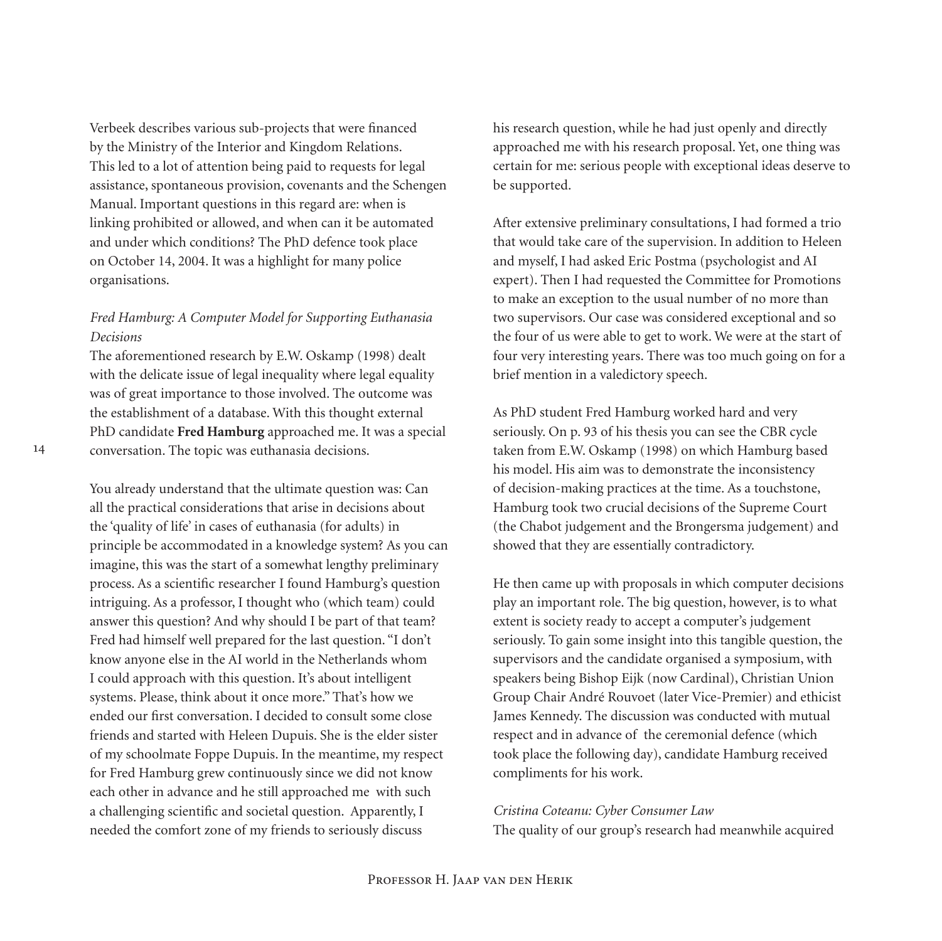Verbeek describes various sub-projects that were financed by the Ministry of the Interior and Kingdom Relations. This led to a lot of attention being paid to requests for legal assistance, spontaneous provision, covenants and the Schengen Manual. Important questions in this regard are: when is linking prohibited or allowed, and when can it be automated and under which conditions? The PhD defence took place on October 14, 2004. It was a highlight for many police organisations.

## *Fred Hamburg: A Computer Model for Supporting Euthanasia Decisions*

The aforementioned research by E.W. Oskamp (1998) dealt with the delicate issue of legal inequality where legal equality was of great importance to those involved. The outcome was the establishment of a database. With this thought external PhD candidate **Fred Hamburg** approached me. It was a special conversation. The topic was euthanasia decisions.

You already understand that the ultimate question was: Can all the practical considerations that arise in decisions about the 'quality of life' in cases of euthanasia (for adults) in principle be accommodated in a knowledge system? As you can imagine, this was the start of a somewhat lengthy preliminary process. As a scientific researcher I found Hamburg's question intriguing. As a professor, I thought who (which team) could answer this question? And why should I be part of that team? Fred had himself well prepared for the last question. "I don't know anyone else in the AI world in the Netherlands whom I could approach with this question. It's about intelligent systems. Please, think about it once more." That's how we ended our first conversation. I decided to consult some close friends and started with Heleen Dupuis. She is the elder sister of my schoolmate Foppe Dupuis. In the meantime, my respect for Fred Hamburg grew continuously since we did not know each other in advance and he still approached me with such a challenging scientific and societal question. Apparently, I needed the comfort zone of my friends to seriously discuss

his research question, while he had just openly and directly approached me with his research proposal. Yet, one thing was certain for me: serious people with exceptional ideas deserve to be supported.

After extensive preliminary consultations, I had formed a trio that would take care of the supervision. In addition to Heleen and myself, I had asked Eric Postma (psychologist and AI expert). Then I had requested the Committee for Promotions to make an exception to the usual number of no more than two supervisors. Our case was considered exceptional and so the four of us were able to get to work. We were at the start of four very interesting years. There was too much going on for a brief mention in a valedictory speech.

As PhD student Fred Hamburg worked hard and very seriously. On p. 93 of his thesis you can see the CBR cycle taken from E.W. Oskamp (1998) on which Hamburg based his model. His aim was to demonstrate the inconsistency of decision-making practices at the time. As a touchstone, Hamburg took two crucial decisions of the Supreme Court (the Chabot judgement and the Brongersma judgement) and showed that they are essentially contradictory.

He then came up with proposals in which computer decisions play an important role. The big question, however, is to what extent is society ready to accept a computer's judgement seriously. To gain some insight into this tangible question, the supervisors and the candidate organised a symposium, with speakers being Bishop Eijk (now Cardinal), Christian Union Group Chair André Rouvoet (later Vice-Premier) and ethicist James Kennedy. The discussion was conducted with mutual respect and in advance of the ceremonial defence (which took place the following day), candidate Hamburg received compliments for his work.

## *Cristina Coteanu: Cyber Consumer Law* The quality of our group's research had meanwhile acquired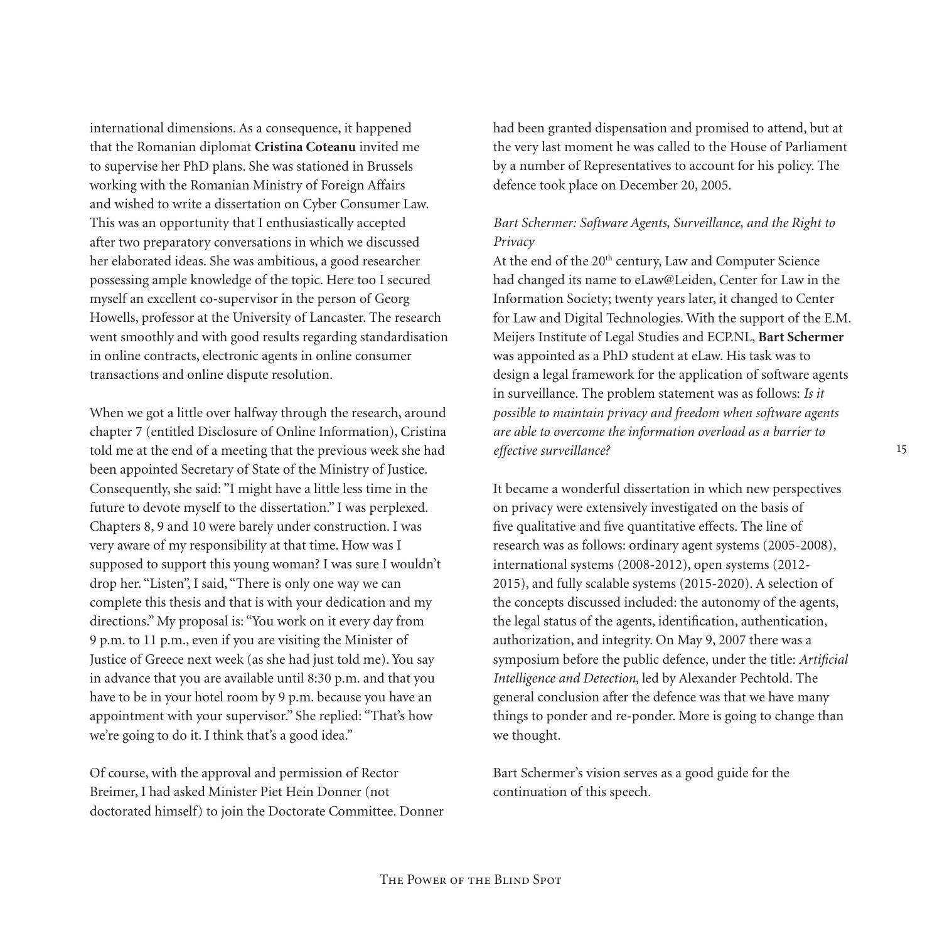international dimensions. As a consequence, it happened that the Romanian diplomat **Cristina Coteanu** invited me to supervise her PhD plans. She was stationed in Brussels working with the Romanian Ministry of Foreign Affairs and wished to write a dissertation on Cyber Consumer Law. This was an opportunity that I enthusiastically accepted after two preparatory conversations in which we discussed her elaborated ideas. She was ambitious, a good researcher possessing ample knowledge of the topic. Here too I secured myself an excellent co-supervisor in the person of Georg Howells, professor at the University of Lancaster. The research went smoothly and with good results regarding standardisation in online contracts, electronic agents in online consumer transactions and online dispute resolution.

When we got a little over halfway through the research, around chapter 7 (entitled Disclosure of Online Information), Cristina told me at the end of a meeting that the previous week she had been appointed Secretary of State of the Ministry of Justice. Consequently, she said: "I might have a little less time in the future to devote myself to the dissertation." I was perplexed. Chapters 8, 9 and 10 were barely under construction. I was very aware of my responsibility at that time. How was I supposed to support this young woman? I was sure I wouldn't drop her. "Listen", I said, "There is only one way we can complete this thesis and that is with your dedication and my directions." My proposal is: "You work on it every day from 9 p.m. to 11 p.m., even if you are visiting the Minister of Justice of Greece next week (as she had just told me). You say in advance that you are available until 8:30 p.m. and that you have to be in your hotel room by 9 p.m. because you have an appointment with your supervisor." She replied: "That's how we're going to do it. I think that's a good idea."

Of course, with the approval and permission of Rector Breimer, I had asked Minister Piet Hein Donner (not doctorated himself) to join the Doctorate Committee. Donner had been granted dispensation and promised to attend, but at the very last moment he was called to the House of Parliament by a number of Representatives to account for his policy. The defence took place on December 20, 2005.

## *Bart Schermer: Software Agents, Surveillance, and the Right to Privacy*

At the end of the 20<sup>th</sup> century, Law and Computer Science had changed its name to eLaw@Leiden, Center for Law in the Information Society; twenty years later, it changed to Center for Law and Digital Technologies. With the support of the E.M. Meijers Institute of Legal Studies and ECP.NL, **Bart Schermer** was appointed as a PhD student at eLaw. His task was to design a legal framework for the application of software agents in surveillance. The problem statement was as follows: *Is it possible to maintain privacy and freedom when software agents are able to overcome the information overload as a barrier to effective surveillance?*

It became a wonderful dissertation in which new perspectives on privacy were extensively investigated on the basis of five qualitative and five quantitative effects. The line of research was as follows: ordinary agent systems (2005-2008), international systems (2008-2012), open systems (2012- 2015), and fully scalable systems (2015-2020). A selection of the concepts discussed included: the autonomy of the agents, the legal status of the agents, identification, authentication, authorization, and integrity. On May 9, 2007 there was a symposium before the public defence, under the title: *Artificial Intelligence and Detection*, led by Alexander Pechtold. The general conclusion after the defence was that we have many things to ponder and re-ponder. More is going to change than we thought.

Bart Schermer's vision serves as a good guide for the continuation of this speech.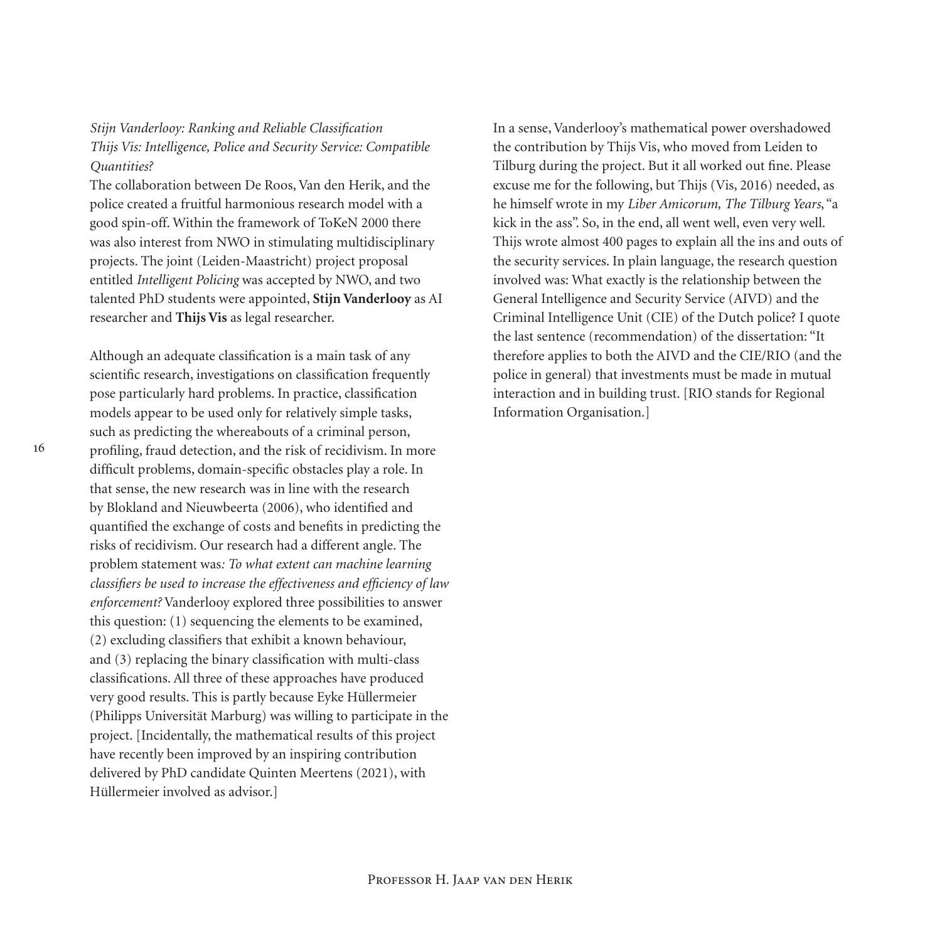*Stijn Vanderlooy: Ranking and Reliable Classification Thijs Vis: Intelligence, Police and Security Service: Compatible Quantities?*

The collaboration between De Roos, Van den Herik, and the police created a fruitful harmonious research model with a good spin-off. Within the framework of ToKeN 2000 there was also interest from NWO in stimulating multidisciplinary projects. The joint (Leiden-Maastricht) project proposal entitled *Intelligent Policing* was accepted by NWO, and two talented PhD students were appointed, **Stijn Vanderlooy** as AI researcher and **Thijs Vis** as legal researcher.

Although an adequate classification is a main task of any scientific research, investigations on classification frequently pose particularly hard problems. In practice, classification models appear to be used only for relatively simple tasks, such as predicting the whereabouts of a criminal person, profiling, fraud detection, and the risk of recidivism. In more difficult problems, domain-specific obstacles play a role. In that sense, the new research was in line with the research by Blokland and Nieuwbeerta (2006), who identified and quantified the exchange of costs and benefits in predicting the risks of recidivism. Our research had a different angle. The problem statement was*: To what extent can machine learning classifiers be used to increase the effectiveness and efficiency of law enforcement?* Vanderlooy explored three possibilities to answer this question: (1) sequencing the elements to be examined, (2) excluding classifiers that exhibit a known behaviour, and (3) replacing the binary classification with multi-class classifications. All three of these approaches have produced very good results. This is partly because Eyke Hüllermeier (Philipps Universität Marburg) was willing to participate in the project. [Incidentally, the mathematical results of this project have recently been improved by an inspiring contribution delivered by PhD candidate Quinten Meertens (2021), with Hüllermeier involved as advisor.]

In a sense, Vanderlooy's mathematical power overshadowed the contribution by Thijs Vis, who moved from Leiden to Tilburg during the project. But it all worked out fine. Please excuse me for the following, but Thijs (Vis, 2016) needed, as he himself wrote in my *Liber Amicorum, The Tilburg Years*, "a kick in the ass". So, in the end, all went well, even very well. Thijs wrote almost 400 pages to explain all the ins and outs of the security services. In plain language, the research question involved was: What exactly is the relationship between the General Intelligence and Security Service (AIVD) and the Criminal Intelligence Unit (CIE) of the Dutch police? I quote the last sentence (recommendation) of the dissertation: "It therefore applies to both the AIVD and the CIE/RIO (and the police in general) that investments must be made in mutual interaction and in building trust. [RIO stands for Regional Information Organisation.]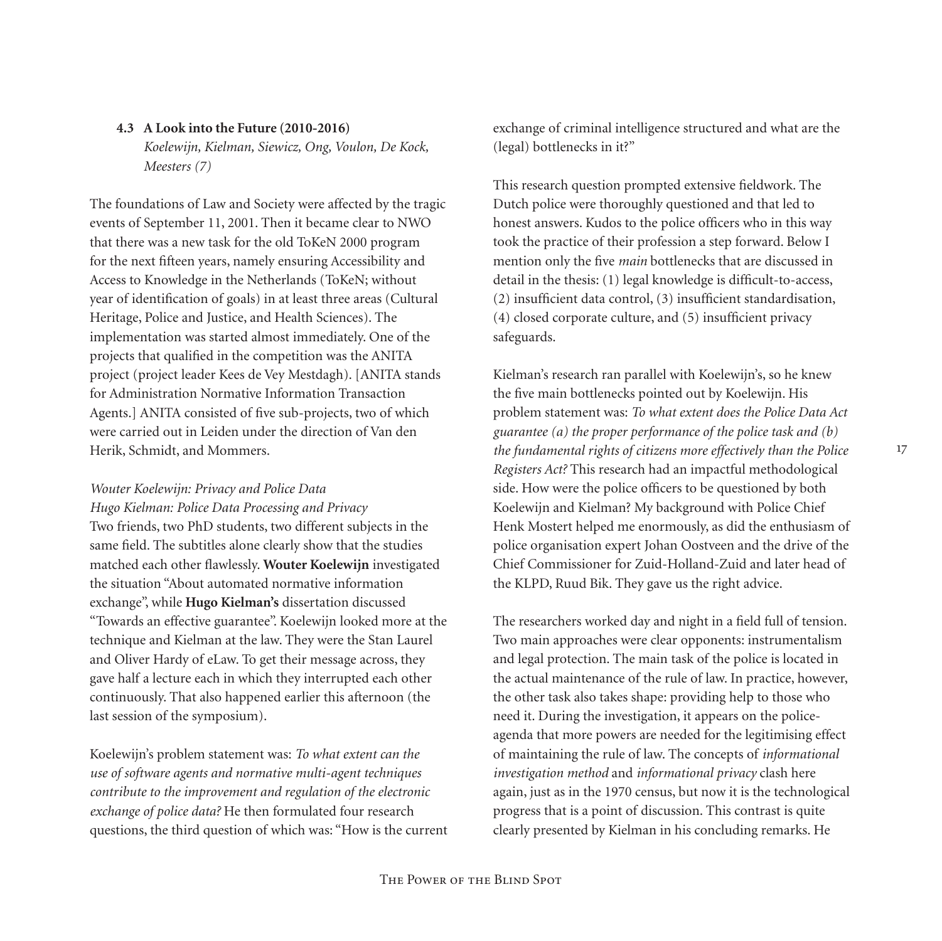## **4.3 A Look into the Future (2010-2016)** *Koelewijn, Kielman, Siewicz, Ong, Voulon, De Kock, Meesters (7)*

The foundations of Law and Society were affected by the tragic events of September 11, 2001. Then it became clear to NWO that there was a new task for the old ToKeN 2000 program for the next fifteen years, namely ensuring Accessibility and Access to Knowledge in the Netherlands (ToKeN; without year of identification of goals) in at least three areas (Cultural Heritage, Police and Justice, and Health Sciences). The implementation was started almost immediately. One of the projects that qualified in the competition was the ANITA project (project leader Kees de Vey Mestdagh). [ANITA stands for Administration Normative Information Transaction Agents.] ANITA consisted of five sub-projects, two of which were carried out in Leiden under the direction of Van den Herik, Schmidt, and Mommers.

## *Wouter Koelewijn: Privacy and Police Data*

*Hugo Kielman: Police Data Processing and Privacy* Two friends, two PhD students, two different subjects in the same field. The subtitles alone clearly show that the studies matched each other flawlessly. **Wouter Koelewijn** investigated the situation "About automated normative information exchange", while **Hugo Kielman's** dissertation discussed "Towards an effective guarantee". Koelewijn looked more at the technique and Kielman at the law. They were the Stan Laurel and Oliver Hardy of eLaw. To get their message across, they gave half a lecture each in which they interrupted each other continuously. That also happened earlier this afternoon (the last session of the symposium).

Koelewijn's problem statement was: *To what extent can the use of software agents and normative multi-agent techniques contribute to the improvement and regulation of the electronic exchange of police data?* He then formulated four research questions, the third question of which was: "How is the current exchange of criminal intelligence structured and what are the (legal) bottlenecks in it?"

This research question prompted extensive fieldwork. The Dutch police were thoroughly questioned and that led to honest answers. Kudos to the police officers who in this way took the practice of their profession a step forward. Below I mention only the five *main* bottlenecks that are discussed in detail in the thesis: (1) legal knowledge is difficult-to-access, (2) insufficient data control, (3) insufficient standardisation, (4) closed corporate culture, and (5) insufficient privacy safeguards.

Kielman's research ran parallel with Koelewijn's, so he knew the five main bottlenecks pointed out by Koelewijn. His problem statement was: *To what extent does the Police Data Act guarantee (a) the proper performance of the police task and (b) the fundamental rights of citizens more effectively than the Police Registers Act?* This research had an impactful methodological side. How were the police officers to be questioned by both Koelewijn and Kielman? My background with Police Chief Henk Mostert helped me enormously, as did the enthusiasm of police organisation expert Johan Oostveen and the drive of the Chief Commissioner for Zuid-Holland-Zuid and later head of the KLPD, Ruud Bik. They gave us the right advice.

The researchers worked day and night in a field full of tension. Two main approaches were clear opponents: instrumentalism and legal protection. The main task of the police is located in the actual maintenance of the rule of law. In practice, however, the other task also takes shape: providing help to those who need it. During the investigation, it appears on the policeagenda that more powers are needed for the legitimising effect of maintaining the rule of law. The concepts of *informational investigation method* and *informational privacy* clash here again, just as in the 1970 census, but now it is the technological progress that is a point of discussion. This contrast is quite clearly presented by Kielman in his concluding remarks. He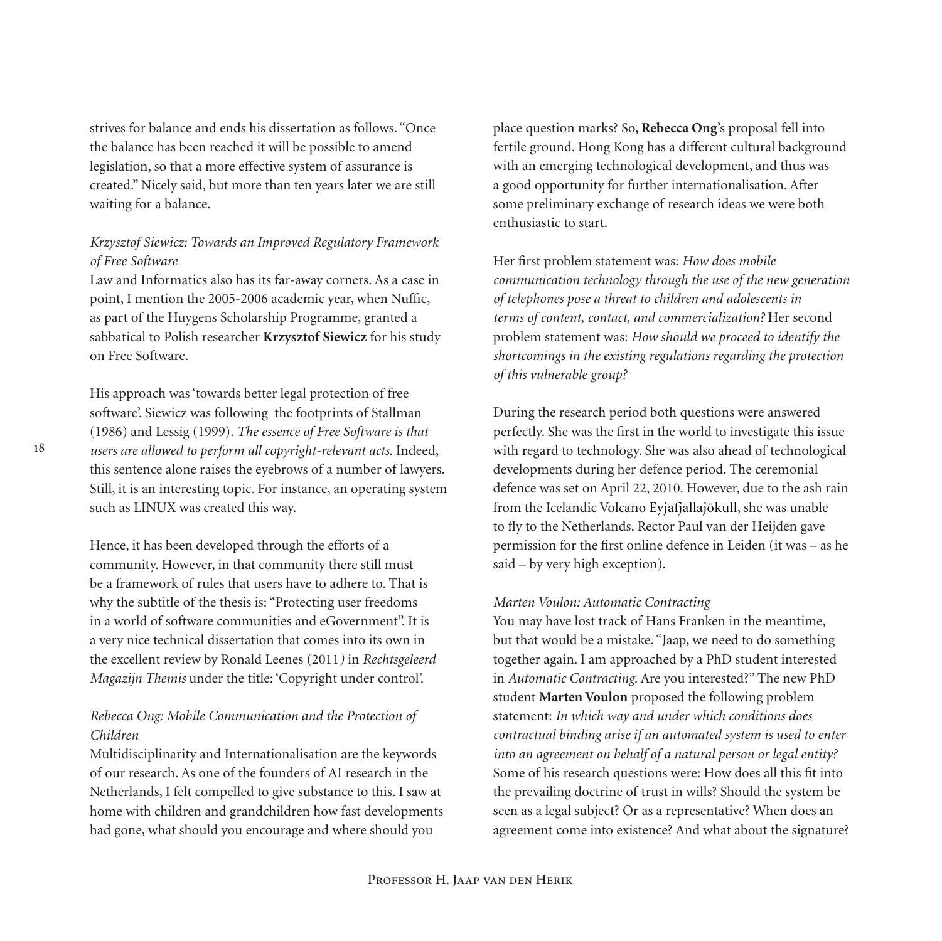strives for balance and ends his dissertation as follows. "Once the balance has been reached it will be possible to amend legislation, so that a more effective system of assurance is created." Nicely said, but more than ten years later we are still waiting for a balance.

## *Krzysztof Siewicz: Towards an Improved Regulatory Framework of Free Software*

Law and Informatics also has its far-away corners. As a case in point, I mention the 2005-2006 academic year, when Nuffic, as part of the Huygens Scholarship Programme, granted a sabbatical to Polish researcher **Krzysztof Siewicz** for his study on Free Software.

His approach was 'towards better legal protection of free software'. Siewicz was following the footprints of Stallman (1986) and Lessig (1999). *The essence of Free Software is that users are allowed to perform all copyright-relevant acts.* Indeed, this sentence alone raises the eyebrows of a number of lawyers. Still, it is an interesting topic. For instance, an operating system such as LINUX was created this way.

Hence, it has been developed through the efforts of a community. However, in that community there still must be a framework of rules that users have to adhere to. That is why the subtitle of the thesis is: "Protecting user freedoms in a world of software communities and eGovernment". It is a very nice technical dissertation that comes into its own in the excellent review by Ronald Leenes (2011*)* in *Rechtsgeleerd Magazijn Themis* under the title: 'Copyright under control'.

## *Rebecca Ong: Mobile Communication and the Protection of Children*

Multidisciplinarity and Internationalisation are the keywords of our research. As one of the founders of AI research in the Netherlands, I felt compelled to give substance to this. I saw at home with children and grandchildren how fast developments had gone, what should you encourage and where should you

place question marks? So, **Rebecca Ong**'s proposal fell into fertile ground. Hong Kong has a different cultural background with an emerging technological development, and thus was a good opportunity for further internationalisation. After some preliminary exchange of research ideas we were both enthusiastic to start.

Her first problem statement was: *How does mobile communication technology through the use of the new generation of telephones pose a threat to children and adolescents in terms of content, contact, and commercialization?* Her second problem statement was: *How should we proceed to identify the shortcomings in the existing regulations regarding the protection of this vulnerable group?*

During the research period both questions were answered perfectly. She was the first in the world to investigate this issue with regard to technology. She was also ahead of technological developments during her defence period. The ceremonial defence was set on April 22, 2010. However, due to the ash rain from the Icelandic Volcano Eyjafjallajökull, she was unable to fly to the Netherlands. Rector Paul van der Heijden gave permission for the first online defence in Leiden (it was – as he said – by very high exception).

## *Marten Voulon: Automatic Contracting*

You may have lost track of Hans Franken in the meantime, but that would be a mistake. "Jaap, we need to do something together again. I am approached by a PhD student interested in *Automatic Contracting*. Are you interested?" The new PhD student **Marten Voulon** proposed the following problem statement: *In which way and under which conditions does contractual binding arise if an automated system is used to enter into an agreement on behalf of a natural person or legal entity?* Some of his research questions were: How does all this fit into the prevailing doctrine of trust in wills? Should the system be seen as a legal subject? Or as a representative? When does an agreement come into existence? And what about the signature?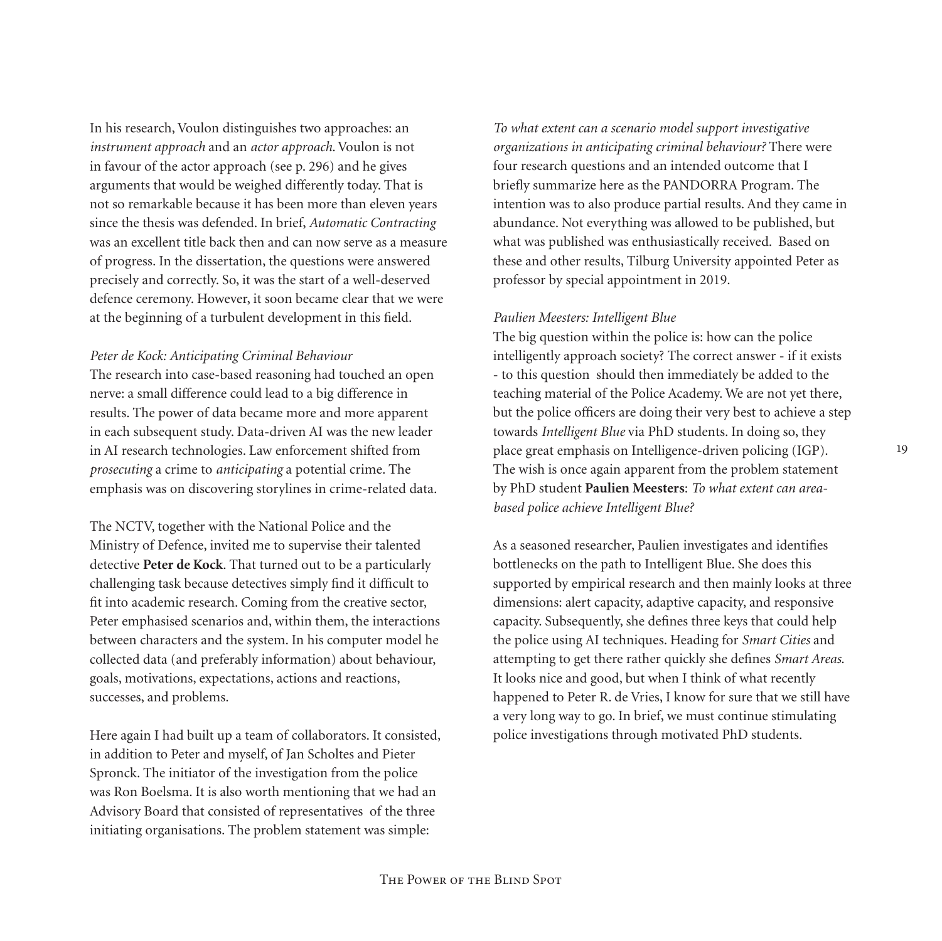In his research, Voulon distinguishes two approaches: an *instrument approach* and an *actor approach*. Voulon is not in favour of the actor approach (see p. 296) and he gives arguments that would be weighed differently today. That is not so remarkable because it has been more than eleven years since the thesis was defended. In brief, *Automatic Contracting*  was an excellent title back then and can now serve as a measure of progress. In the dissertation, the questions were answered precisely and correctly. So, it was the start of a well-deserved defence ceremony. However, it soon became clear that we were at the beginning of a turbulent development in this field.

#### *Peter de Kock: Anticipating Criminal Behaviour*

The research into case-based reasoning had touched an open nerve: a small difference could lead to a big difference in results. The power of data became more and more apparent in each subsequent study. Data-driven AI was the new leader in AI research technologies. Law enforcement shifted from *prosecuting* a crime to *anticipating* a potential crime. The emphasis was on discovering storylines in crime-related data.

The NCTV, together with the National Police and the Ministry of Defence, invited me to supervise their talented detective **Peter de Kock**. That turned out to be a particularly challenging task because detectives simply find it difficult to fit into academic research. Coming from the creative sector, Peter emphasised scenarios and, within them, the interactions between characters and the system. In his computer model he collected data (and preferably information) about behaviour, goals, motivations, expectations, actions and reactions, successes, and problems.

Here again I had built up a team of collaborators. It consisted, in addition to Peter and myself, of Jan Scholtes and Pieter Spronck. The initiator of the investigation from the police was Ron Boelsma. It is also worth mentioning that we had an Advisory Board that consisted of representatives of the three initiating organisations. The problem statement was simple:

*To what extent can a scenario model support investigative organizations in anticipating criminal behaviour?* There were four research questions and an intended outcome that I briefly summarize here as the PANDORRA Program. The intention was to also produce partial results. And they came in abundance. Not everything was allowed to be published, but what was published was enthusiastically received. Based on these and other results, Tilburg University appointed Peter as professor by special appointment in 2019.

#### *Paulien Meesters: Intelligent Blue*

The big question within the police is: how can the police intelligently approach society? The correct answer - if it exists - to this question should then immediately be added to the teaching material of the Police Academy. We are not yet there, but the police officers are doing their very best to achieve a step towards *Intelligent Blue* via PhD students. In doing so, they place great emphasis on Intelligence-driven policing (IGP). The wish is once again apparent from the problem statement by PhD student **Paulien Meesters**: *To what extent can areabased police achieve Intelligent Blue?*

As a seasoned researcher, Paulien investigates and identifies bottlenecks on the path to Intelligent Blue. She does this supported by empirical research and then mainly looks at three dimensions: alert capacity, adaptive capacity, and responsive capacity. Subsequently, she defines three keys that could help the police using AI techniques. Heading for *Smart Cities* and attempting to get there rather quickly she defines *Smart Areas*. It looks nice and good, but when I think of what recently happened to Peter R. de Vries, I know for sure that we still have a very long way to go. In brief, we must continue stimulating police investigations through motivated PhD students.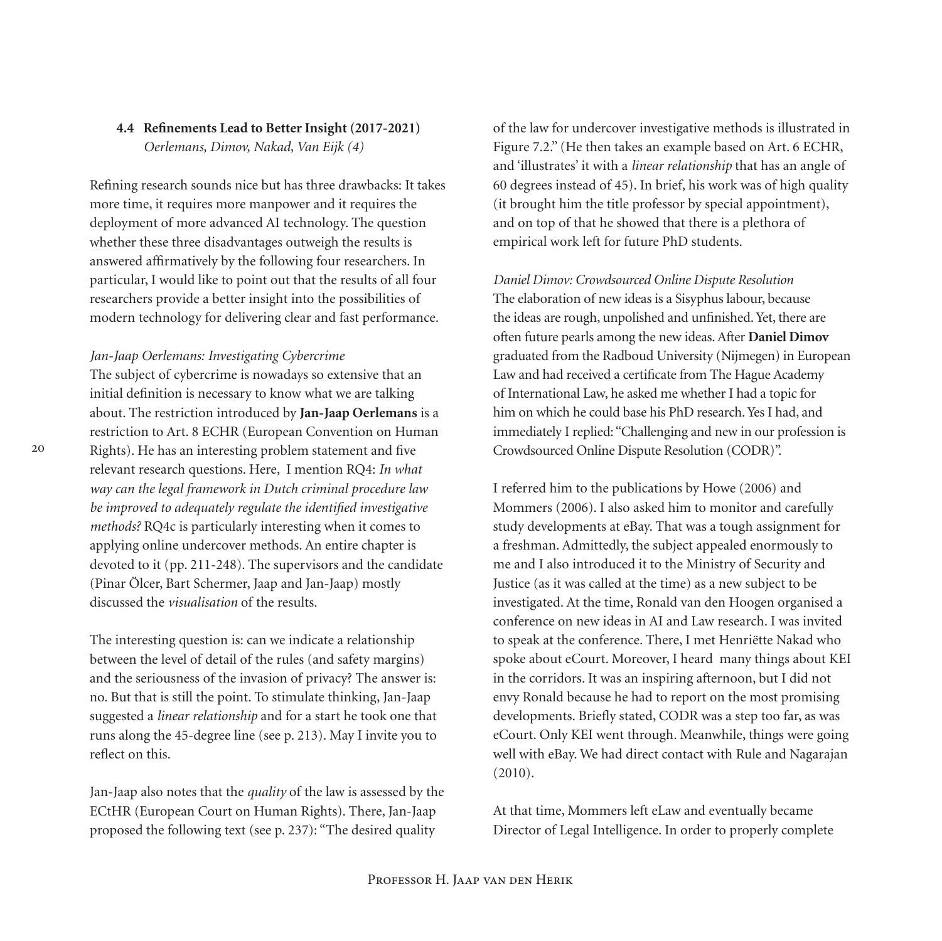## **4.4 Refinements Lead to Better Insight (2017-2021)** *Oerlemans, Dimov, Nakad, Van Eijk (4)*

Refining research sounds nice but has three drawbacks: It takes more time, it requires more manpower and it requires the deployment of more advanced AI technology. The question whether these three disadvantages outweigh the results is answered affirmatively by the following four researchers. In particular, I would like to point out that the results of all four researchers provide a better insight into the possibilities of modern technology for delivering clear and fast performance.

*Jan-Jaap Oerlemans: Investigating Cybercrime*

The subject of cybercrime is nowadays so extensive that an initial definition is necessary to know what we are talking about. The restriction introduced by **Jan-Jaap Oerlemans** is a restriction to Art. 8 ECHR (European Convention on Human Rights). He has an interesting problem statement and five relevant research questions. Here, I mention RQ4: *In what way can the legal framework in Dutch criminal procedure law be improved to adequately regulate the identified investigative methods?* RQ4c is particularly interesting when it comes to applying online undercover methods. An entire chapter is devoted to it (pp. 211-248). The supervisors and the candidate (Pinar Ölcer, Bart Schermer, Jaap and Jan-Jaap) mostly discussed the *visualisation* of the results.

The interesting question is: can we indicate a relationship between the level of detail of the rules (and safety margins) and the seriousness of the invasion of privacy? The answer is: no. But that is still the point. To stimulate thinking, Jan-Jaap suggested a *linear relationship* and for a start he took one that runs along the 45-degree line (see p. 213). May I invite you to reflect on this.

Jan-Jaap also notes that the *quality* of the law is assessed by the ECtHR (European Court on Human Rights). There, Jan-Jaap proposed the following text (see p. 237): "The desired quality

of the law for undercover investigative methods is illustrated in Figure 7.2." (He then takes an example based on Art. 6 ECHR, and 'illustrates' it with a *linear relationship* that has an angle of 60 degrees instead of 45). In brief, his work was of high quality (it brought him the title professor by special appointment), and on top of that he showed that there is a plethora of empirical work left for future PhD students.

*Daniel Dimov: Crowdsourced Online Dispute Resolution* The elaboration of new ideas is a Sisyphus labour, because the ideas are rough, unpolished and unfinished. Yet, there are often future pearls among the new ideas. After **Daniel Dimov** graduated from the Radboud University (Nijmegen) in European Law and had received a certificate from The Hague Academy of International Law, he asked me whether I had a topic for him on which he could base his PhD research. Yes I had, and immediately I replied: "Challenging and new in our profession is Crowdsourced Online Dispute Resolution (CODR)".

I referred him to the publications by Howe (2006) and Mommers (2006). I also asked him to monitor and carefully study developments at eBay. That was a tough assignment for a freshman. Admittedly, the subject appealed enormously to me and I also introduced it to the Ministry of Security and Justice (as it was called at the time) as a new subject to be investigated. At the time, Ronald van den Hoogen organised a conference on new ideas in AI and Law research. I was invited to speak at the conference. There, I met Henriëtte Nakad who spoke about eCourt. Moreover, I heard many things about KEI in the corridors. It was an inspiring afternoon, but I did not envy Ronald because he had to report on the most promising developments. Briefly stated, CODR was a step too far, as was eCourt. Only KEI went through. Meanwhile, things were going well with eBay. We had direct contact with Rule and Nagarajan (2010).

At that time, Mommers left eLaw and eventually became Director of Legal Intelligence. In order to properly complete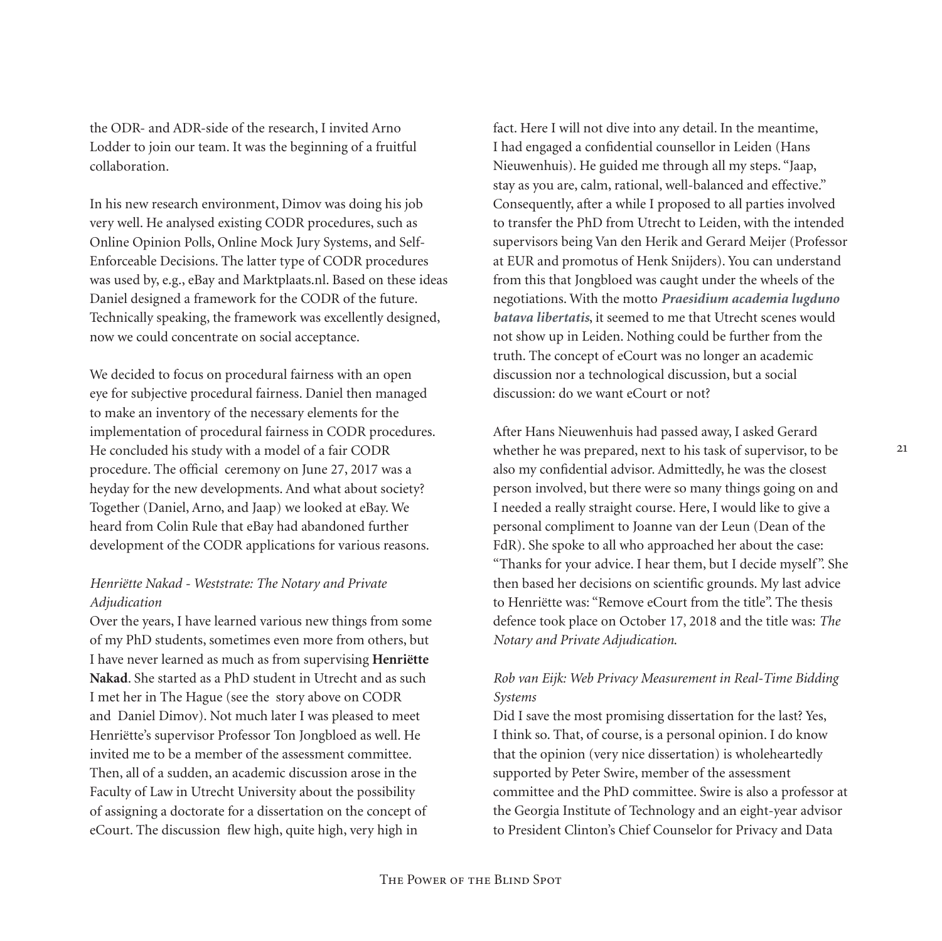the ODR- and ADR-side of the research, I invited Arno Lodder to join our team. It was the beginning of a fruitful collaboration.

In his new research environment, Dimov was doing his job very well. He analysed existing CODR procedures, such as Online Opinion Polls, Online Mock Jury Systems, and Self-Enforceable Decisions. The latter type of CODR procedures was used by, e.g., eBay and Marktplaats.nl. Based on these ideas Daniel designed a framework for the CODR of the future. Technically speaking, the framework was excellently designed, now we could concentrate on social acceptance.

We decided to focus on procedural fairness with an open eye for subjective procedural fairness. Daniel then managed to make an inventory of the necessary elements for the implementation of procedural fairness in CODR procedures. He concluded his study with a model of a fair CODR procedure. The official ceremony on June 27, 2017 was a heyday for the new developments. And what about society? Together (Daniel, Arno, and Jaap) we looked at eBay. We heard from Colin Rule that eBay had abandoned further development of the CODR applications for various reasons.

## *Henriëtte Nakad - Weststrate: The Notary and Private Adjudication*

Over the years, I have learned various new things from some of my PhD students, sometimes even more from others, but I have never learned as much as from supervising **Henriëtte Nakad**. She started as a PhD student in Utrecht and as such I met her in The Hague (see the story above on CODR and Daniel Dimov). Not much later I was pleased to meet Henriëtte's supervisor Professor Ton Jongbloed as well. He invited me to be a member of the assessment committee. Then, all of a sudden, an academic discussion arose in the Faculty of Law in Utrecht University about the possibility of assigning a doctorate for a dissertation on the concept of eCourt. The discussion flew high, quite high, very high in

fact. Here I will not dive into any detail. In the meantime, I had engaged a confidential counsellor in Leiden (Hans Nieuwenhuis). He guided me through all my steps. "Jaap, stay as you are, calm, rational, well-balanced and effective." Consequently, after a while I proposed to all parties involved to transfer the PhD from Utrecht to Leiden, with the intended supervisors being Van den Herik and Gerard Meijer (Professor at EUR and promotus of Henk Snijders). You can understand from this that Jongbloed was caught under the wheels of the negotiations. With the motto *Praesidium academia lugduno batava libertatis*, it seemed to me that Utrecht scenes would not show up in Leiden. Nothing could be further from the truth. The concept of eCourt was no longer an academic discussion nor a technological discussion, but a social discussion: do we want eCourt or not?

After Hans Nieuwenhuis had passed away, I asked Gerard whether he was prepared, next to his task of supervisor, to be also my confidential advisor. Admittedly, he was the closest person involved, but there were so many things going on and I needed a really straight course. Here, I would like to give a personal compliment to Joanne van der Leun (Dean of the FdR). She spoke to all who approached her about the case: "Thanks for your advice. I hear them, but I decide myself". She then based her decisions on scientific grounds. My last advice to Henriëtte was: "Remove eCourt from the title". The thesis defence took place on October 17, 2018 and the title was: *The Notary and Private Adjudication*.

## *Rob van Eijk: Web Privacy Measurement in Real-Time Bidding Systems*

Did I save the most promising dissertation for the last? Yes, I think so. That, of course, is a personal opinion. I do know that the opinion (very nice dissertation) is wholeheartedly supported by Peter Swire, member of the assessment committee and the PhD committee. Swire is also a professor at the Georgia Institute of Technology and an eight-year advisor to President Clinton's Chief Counselor for Privacy and Data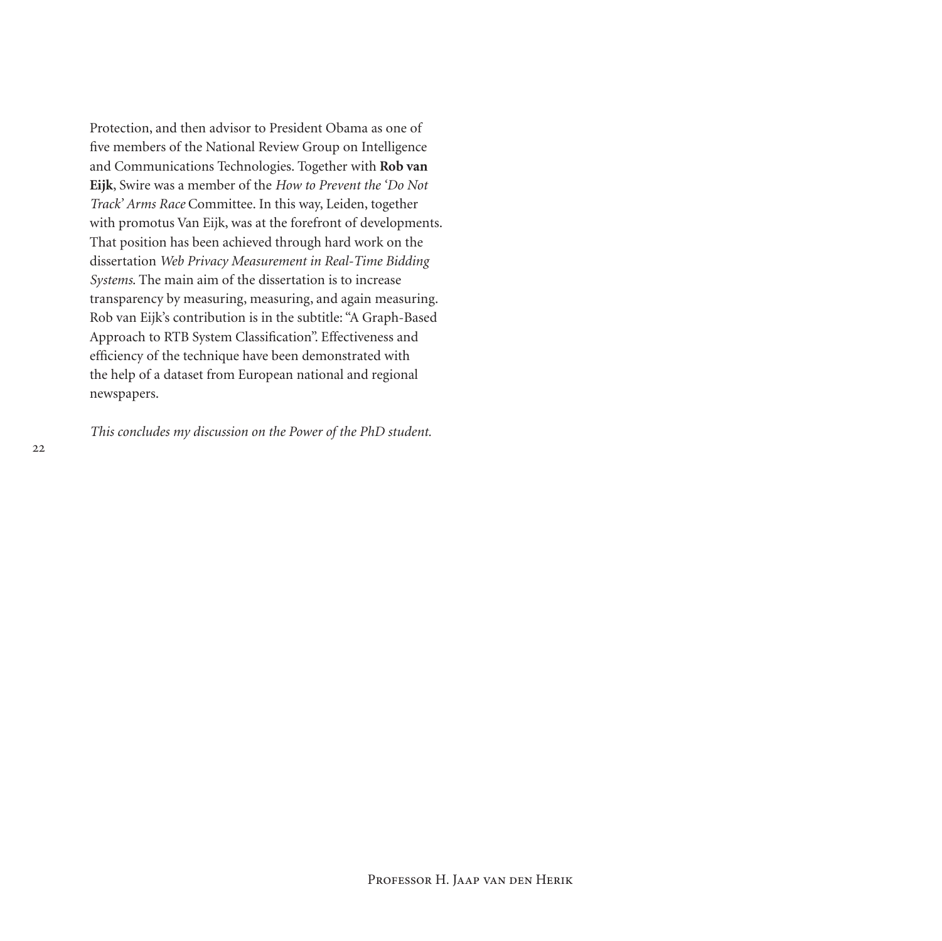Protection, and then advisor to President Obama as one of five members of the National Review Group on Intelligence and Communications Technologies. Together with **Rob van Eijk**, Swire was a member of the *How to Prevent the 'Do Not Track' Arms Race* Committee. In this way, Leiden, together with promotus Van Eijk, was at the forefront of developments. That position has been achieved through hard work on the dissertation *Web Privacy Measurement in Real-Time Bidding Systems*. The main aim of the dissertation is to increase transparency by measuring, measuring, and again measuring. Rob van Eijk's contribution is in the subtitle: "A Graph-Based Approach to RTB System Classification". Effectiveness and efficiency of the technique have been demonstrated with the help of a dataset from European national and regional newspapers.

*This concludes my discussion on the Power of the PhD student.*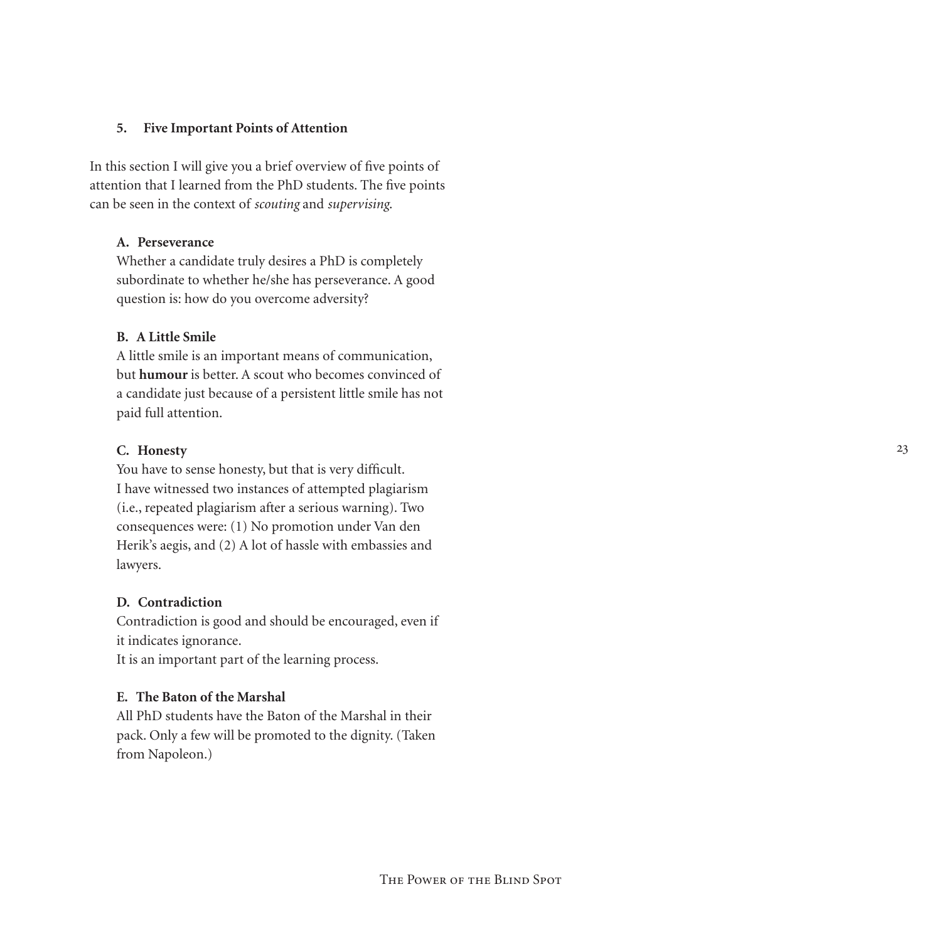## **5. Five Important Points of Attention**

In this section I will give you a brief overview of five points of attention that I learned from the PhD students. The five points can be seen in the context of *scouting* and *supervising*.

## **A. Perseverance**

Whether a candidate truly desires a PhD is completely subordinate to whether he/she has perseverance. A good question is: how do you overcome adversity?

#### **B. A Little Smile**

A little smile is an important means of communication, but **humour** is better. A scout who becomes convinced of a candidate just because of a persistent little smile has not paid full attention.

## **C. Honesty**

You have to sense honesty, but that is very difficult. I have witnessed two instances of attempted plagiarism (i.e., repeated plagiarism after a serious warning). Two consequences were: (1) No promotion under Van den Herik's aegis, and (2) A lot of hassle with embassies and lawyers.

## **D. Contradiction**

Contradiction is good and should be encouraged, even if it indicates ignorance.

It is an important part of the learning process.

## **E. The Baton of the Marshal**

All PhD students have the Baton of the Marshal in their pack. Only a few will be promoted to the dignity. (Taken from Napoleon.)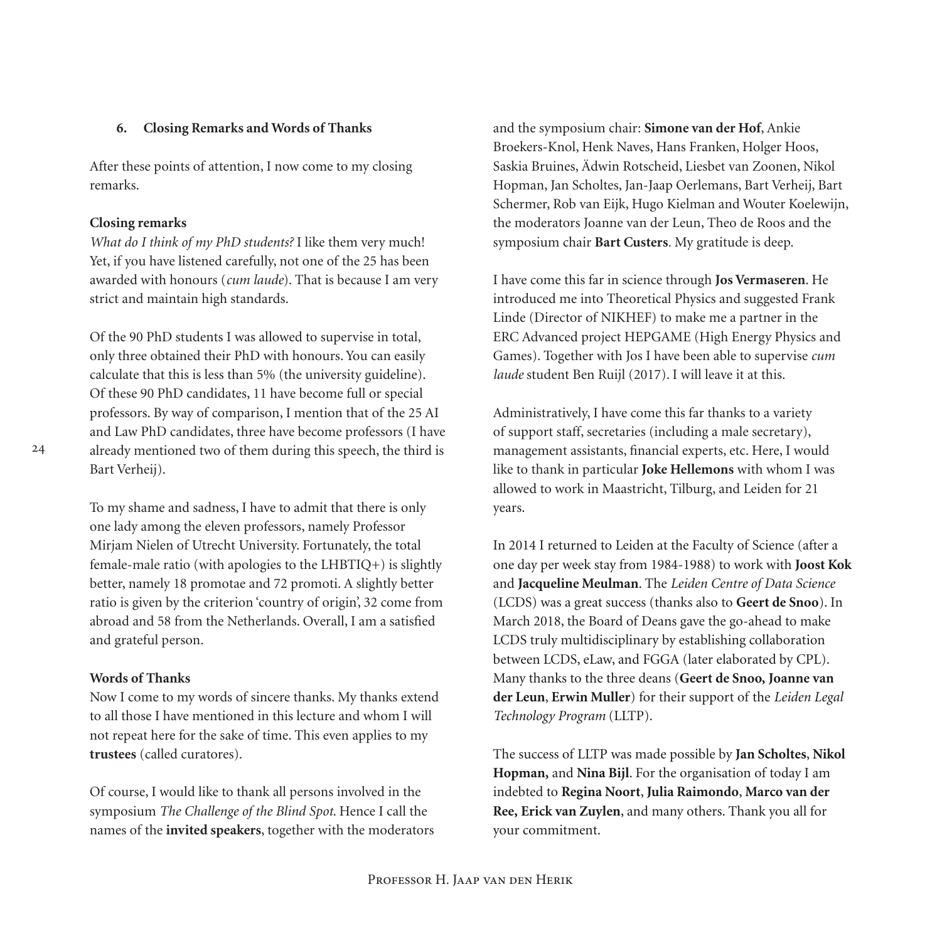## **6. Closing Remarks and Words of Thanks**

After these points of attention, I now come to my closing remarks.

## **Closing remarks**

*What do I think of my PhD students?* I like them very much! Yet, if you have listened carefully, not one of the 25 has been awarded with honours (*cum laude*). That is because I am very strict and maintain high standards.

Of the 90 PhD students I was allowed to supervise in total, only three obtained their PhD with honours. You can easily calculate that this is less than 5% (the university guideline). Of these 90 PhD candidates, 11 have become full or special professors. By way of comparison, I mention that of the 25 AI and Law PhD candidates, three have become professors (I have already mentioned two of them during this speech, the third is Bart Verheij).

To my shame and sadness, I have to admit that there is only one lady among the eleven professors, namely Professor Mirjam Nielen of Utrecht University. Fortunately, the total female-male ratio (with apologies to the LHBTIQ+) is slightly better, namely 18 promotae and 72 promoti. A slightly better ratio is given by the criterion 'country of origin', 32 come from abroad and 58 from the Netherlands. Overall, I am a satisfied and grateful person.

## **Words of Thanks**

Now I come to my words of sincere thanks. My thanks extend to all those I have mentioned in this lecture and whom I will not repeat here for the sake of time. This even applies to my **trustees** (called curatores).

Of course, I would like to thank all persons involved in the symposium *The Challenge of the Blind Spot*. Hence I call the names of the **invited speakers**, together with the moderators and the symposium chair: **Simone van der Hof**, Ankie Broekers-Knol, Henk Naves, Hans Franken, Holger Hoos, Saskia Bruines, Ädwin Rotscheid, Liesbet van Zoonen, Nikol Hopman, Jan Scholtes, Jan-Jaap Oerlemans, Bart Verheij, Bart Schermer, Rob van Eijk, Hugo Kielman and Wouter Koelewijn, the moderators Joanne van der Leun, Theo de Roos and the symposium chair **Bart Custers***.* My gratitude is deep.

I have come this far in science through **Jos Vermaseren**. He introduced me into Theoretical Physics and suggested Frank Linde (Director of NIKHEF) to make me a partner in the ERC Advanced project HEPGAME (High Energy Physics and Games). Together with Jos I have been able to supervise *cum laude* student Ben Ruijl (2017). I will leave it at this.

Administratively, I have come this far thanks to a variety of support staff, secretaries (including a male secretary), management assistants, financial experts, etc. Here, I would like to thank in particular **Joke Hellemons** with whom I was allowed to work in Maastricht, Tilburg, and Leiden for 21 years.

In 2014 I returned to Leiden at the Faculty of Science (after a one day per week stay from 1984-1988) to work with **Joost Kok** and **Jacqueline Meulman**. The *Leiden Centre of Data Science*  (LCDS) was a great success (thanks also to **Geert de Snoo**). In March 2018, the Board of Deans gave the go-ahead to make LCDS truly multidisciplinary by establishing collaboration between LCDS, eLaw, and FGGA (later elaborated by CPL). Many thanks to the three deans (**Geert de Snoo, Joanne van der Leun**, **Erwin Muller**) for their support of the *Leiden Legal Technology Program* (LLTP).

The success of LLTP was made possible by **Jan Scholtes**, **Nikol Hopman,** and **Nina Bijl**. For the organisation of today I am indebted to **Regina Noort**, **Julia Raimondo**, **Marco van der Ree, Erick van Zuylen**, and many others. Thank you all for your commitment.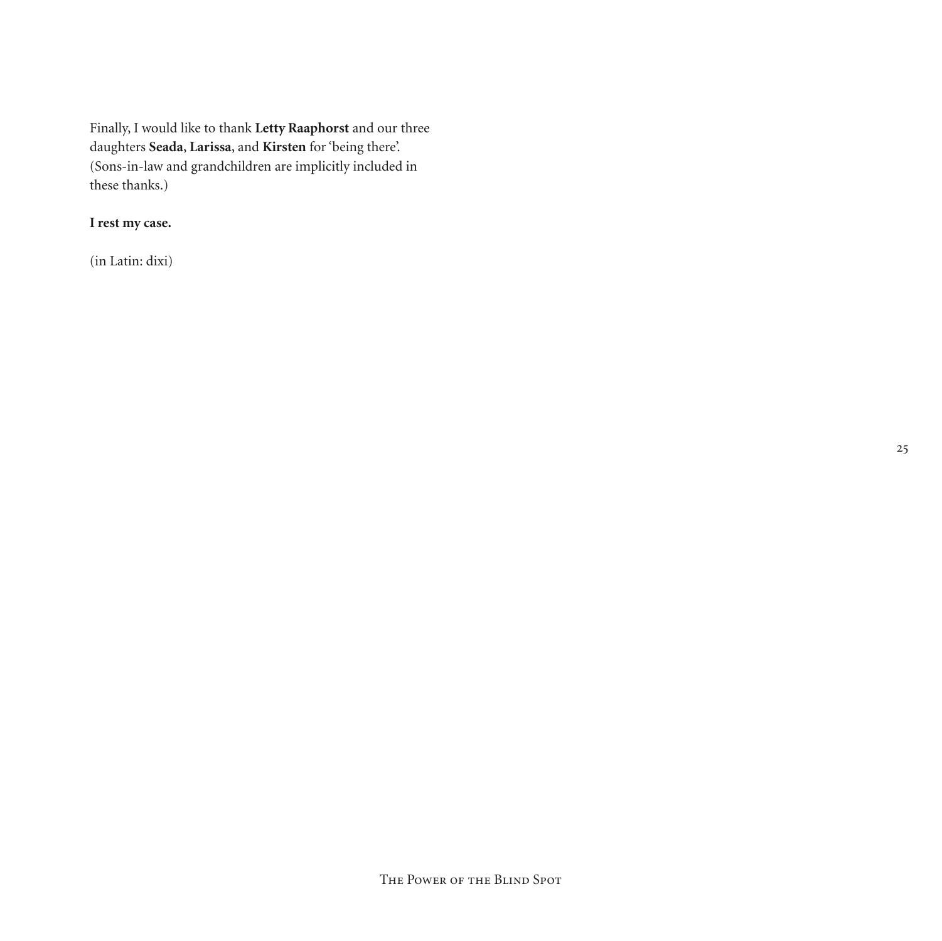Finally, I would like to thank **Letty Raaphorst** and our three daughters **Seada**, **Larissa**, and **Kirsten** for 'being there'. (Sons-in-law and grandchildren are implicitly included in these thanks.)

## **I rest my case.**

(in Latin: dixi)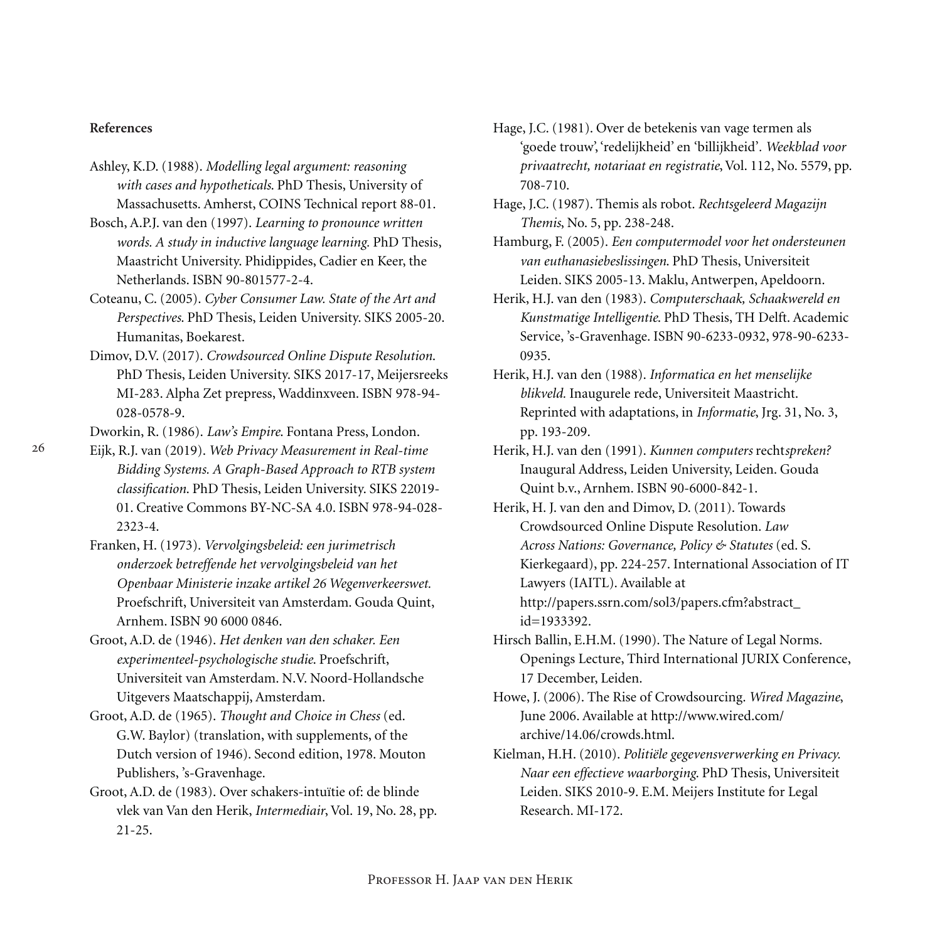## **References**

- Ashley, K.D. (1988). *Modelling legal argument: reasoning with cases and hypotheticals*. PhD Thesis, University of Massachusetts. Amherst, COINS Technical report 88-01.
- Bosch, A.P.J. van den (1997). *Learning to pronounce written words. A study in inductive language learning.* PhD Thesis, Maastricht University. Phidippides, Cadier en Keer, the Netherlands. ISBN 90-801577-2-4.
- Coteanu, C. (2005). *Cyber Consumer Law. State of the Art and Perspectives*. PhD Thesis, Leiden University. SIKS 2005-20. Humanitas, Boekarest.
- Dimov, D.V. (2017). *Crowdsourced Online Dispute Resolution*. PhD Thesis, Leiden University. SIKS 2017-17, Meijersreeks MI-283. Alpha Zet prepress, Waddinxveen. ISBN 978-94- 028-0578-9.

Dworkin, R. (1986). *Law's Empire*. Fontana Press, London.

- Eijk, R.J. van (2019). *Web Privacy Measurement in Real-time Bidding Systems. A Graph-Based Approach to RTB system classification*. PhD Thesis, Leiden University. SIKS 22019- 01. Creative Commons BY-NC-SA 4.0. ISBN 978-94-028- 2323-4.
- Franken, H. (1973). *Vervolgingsbeleid: een jurimetrisch onderzoek betreffende het vervolgingsbeleid van het Openbaar Ministerie inzake artikel 26 Wegenverkeerswet.* Proefschrift, Universiteit van Amsterdam. Gouda Quint, Arnhem. ISBN 90 6000 0846.
- Groot, A.D. de (1946). *Het denken van den schaker. Een experimenteel-psychologische studie*. Proefschrift, Universiteit van Amsterdam. N.V. Noord-Hollandsche Uitgevers Maatschappij, Amsterdam.
- Groot, A.D. de (1965). *Thought and Choice in Chess* (ed. G.W. Baylor) (translation, with supplements, of the Dutch version of 1946). Second edition, 1978. Mouton Publishers, 's-Gravenhage.
- Groot, A.D. de (1983). Over schakers-intuïtie of: de blinde vlek van Van den Herik, *Intermediair*, Vol. 19, No. 28, pp. 21-25.
- Hage, J.C. (1981). Over de betekenis van vage termen als 'goede trouw', 'redelijkheid' en 'billijkheid'*. Weekblad voor privaatrecht, notariaat en registratie*, Vol. 112, No. 5579, pp. 708-710.
- Hage, J.C. (1987). Themis als robot. *Rechtsgeleerd Magazijn Themis*, No. 5, pp. 238-248.
- Hamburg, F. (2005). *Een computermodel voor het ondersteunen van euthanasiebeslissingen*. PhD Thesis, Universiteit Leiden. SIKS 2005-13. Maklu, Antwerpen, Apeldoorn.
- Herik, H.J. van den (1983). *Computerschaak, Schaakwereld en Kunstmatige Intelligentie*. PhD Thesis, TH Delft. Academic Service, 's-Gravenhage. ISBN 90-6233-0932, 978-90-6233- 0935.
- Herik, H.J. van den (1988). *Informatica en het menselijke blikveld.* Inaugurele rede, Universiteit Maastricht. Reprinted with adaptations, in *Informatie*, Jrg. 31, No. 3, pp. 193-209.
- Herik, H.J. van den (1991). *Kunnen computers* recht*spreken?* Inaugural Address, Leiden University, Leiden. Gouda Quint b.v., Arnhem. ISBN 90-6000-842-1.
- Herik, H. J. van den and Dimov, D. (2011). Towards Crowdsourced Online Dispute Resolution. *Law Across Nations: Governance, Policy & Statutes* (ed. S. Kierkegaard), pp. 224-257. International Association of IT Lawyers (IAITL). Available at http://papers.ssrn.com/sol3/papers.cfm?abstract\_ id=1933392.
- Hirsch Ballin, E.H.M. (1990). The Nature of Legal Norms. Openings Lecture, Third International JURIX Conference, 17 December, Leiden.

Howe, J. (2006). The Rise of Crowdsourcing. *Wired Magazine*, June 2006. Available at http://www.wired.com/ archive/14.06/crowds.html.

Kielman, H.H. (2010). *Politiële gegevensverwerking en Privacy. Naar een effectieve waarborging*. PhD Thesis, Universiteit Leiden*.* SIKS 2010-9. E.M. Meijers Institute for Legal Research. MI-172.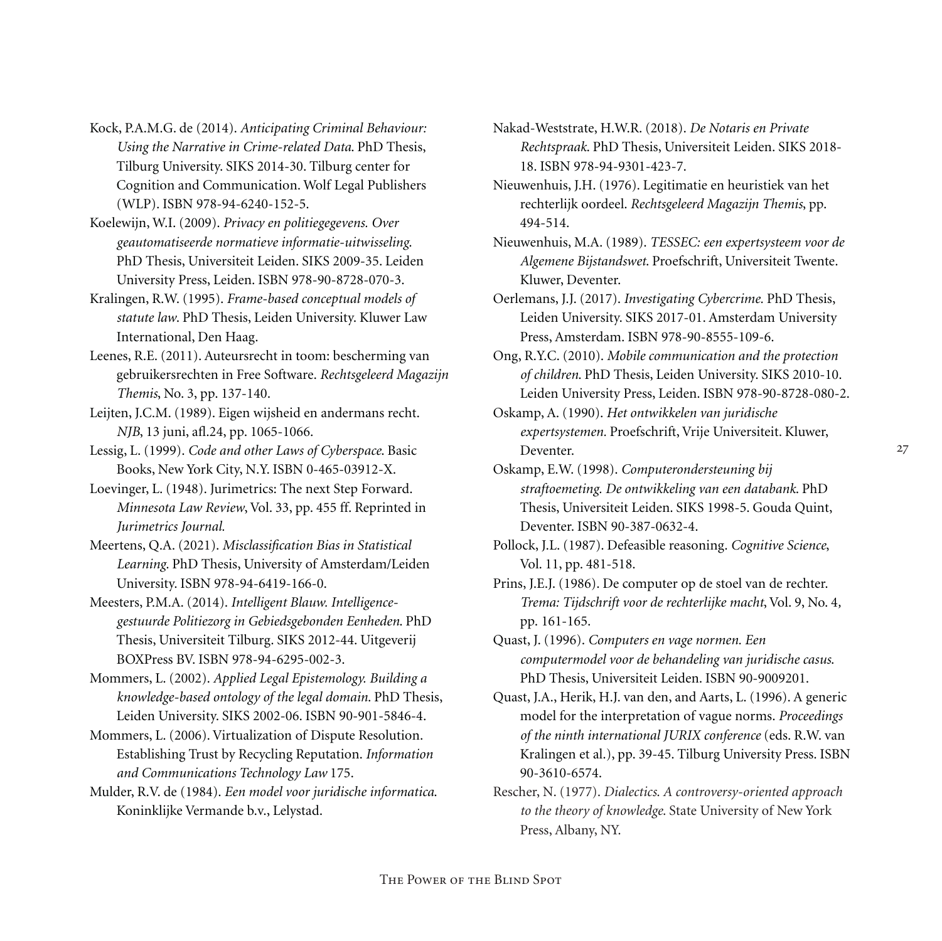- Kock, P.A.M.G. de (2014). *Anticipating Criminal Behaviour: Using the Narrative in Crime-related Data*. PhD Thesis, Tilburg University. SIKS 2014-30. Tilburg center for Cognition and Communication. Wolf Legal Publishers (WLP). ISBN 978-94-6240-152-5.
- Koelewijn, W.I. (2009). *Privacy en politiegegevens. Over geautomatiseerde normatieve informatie-uitwisseling*. PhD Thesis, Universiteit Leiden. SIKS 2009-35. Leiden University Press, Leiden. ISBN 978-90-8728-070-3.
- Kralingen, R.W. (1995). *Frame-based conceptual models of statute law*. PhD Thesis, Leiden University. Kluwer Law International, Den Haag.
- Leenes, R.E. (2011). Auteursrecht in toom: bescherming van gebruikersrechten in Free Software. *Rechtsgeleerd Magazijn Themis*, No. 3, pp. 137-140.
- Leijten, J.C.M. (1989). Eigen wijsheid en andermans recht. *NJB*, 13 juni, afl.24, pp. 1065-1066.
- Lessig, L. (1999). *Code and other Laws of Cyberspace*. Basic Books, New York City, N.Y. ISBN 0-465-03912-X.
- Loevinger, L. (1948). Jurimetrics: The next Step Forward. *Minnesota Law Review*, Vol. 33, pp. 455 ff. Reprinted in *Jurimetrics Journal.*
- Meertens, Q.A. (2021). *Misclassification Bias in Statistical Learning*. PhD Thesis, University of Amsterdam/Leiden University. ISBN 978-94-6419-166-0.
- Meesters, P.M.A. (2014). *Intelligent Blauw. Intelligencegestuurde Politiezorg in Gebiedsgebonden Eenheden*. PhD Thesis, Universiteit Tilburg. SIKS 2012-44. Uitgeverij BOXPress BV. ISBN 978-94-6295-002-3.
- Mommers, L. (2002). *Applied Legal Epistemology. Building a knowledge-based ontology of the legal domain*. PhD Thesis, Leiden University. SIKS 2002-06. ISBN 90-901-5846-4.
- Mommers, L. (2006). Virtualization of Dispute Resolution. Establishing Trust by Recycling Reputation. *Information and Communications Technology Law* 175.
- Mulder, R.V. de (1984). *Een model voor juridische informatica*. Koninklijke Vermande b.v., Lelystad.
- Nakad-Weststrate, H.W.R. (2018). *De Notaris en Private Rechtspraak*. PhD Thesis, Universiteit Leiden. SIKS 2018- 18. ISBN 978-94-9301-423-7.
- Nieuwenhuis, J.H. (1976). Legitimatie en heuristiek van het rechterlijk oordeel. *Rechtsgeleerd Magazijn Themis*, pp. 494-514.
- Nieuwenhuis, M.A. (1989). *TESSEC: een expertsysteem voor de Algemene Bijstandswet*. Proefschrift, Universiteit Twente. Kluwer, Deventer.
- Oerlemans, J.J. (2017). *Investigating Cybercrime.* PhD Thesis, Leiden University. SIKS 2017-01. Amsterdam University Press, Amsterdam. ISBN 978-90-8555-109-6.
- Ong, R.Y.C. (2010). *Mobile communication and the protection of children*. PhD Thesis, Leiden University. SIKS 2010-10. Leiden University Press, Leiden. ISBN 978-90-8728-080-2.
- Oskamp, A. (1990). *Het ontwikkelen van juridische expertsystemen.* Proefschrift, Vrije Universiteit. Kluwer, Deventer.
- Oskamp, E.W. (1998). *Computerondersteuning bij straftoemeting. De ontwikkeling van een databank*. PhD Thesis, Universiteit Leiden. SIKS 1998-5. Gouda Quint, Deventer. ISBN 90-387-0632-4.
- Pollock, J.L. (1987). Defeasible reasoning. *Cognitive Science*, Vol. 11, pp. 481-518.
- Prins, J.E.J. (1986). De computer op de stoel van de rechter. *Trema: Tijdschrift voor de rechterlijke macht*, Vol. 9, No. 4*,*  pp. 161-165.
- Quast, J. (1996). *Computers en vage normen. Een computermodel voor de behandeling van juridische casus*. PhD Thesis, Universiteit Leiden. ISBN 90-9009201.
- Quast, J.A., Herik, H.J. van den, and Aarts, L. (1996). A generic model for the interpretation of vague norms. *Proceedings of the ninth international JURIX conference* (eds. R.W. van Kralingen et al.), pp. 39-45. Tilburg University Press. ISBN 90-3610-6574.
- Rescher, N. (1977). *Dialectics*. *A controversy-oriented approach to the theory of knowledge*. State University of New York Press, Albany, NY.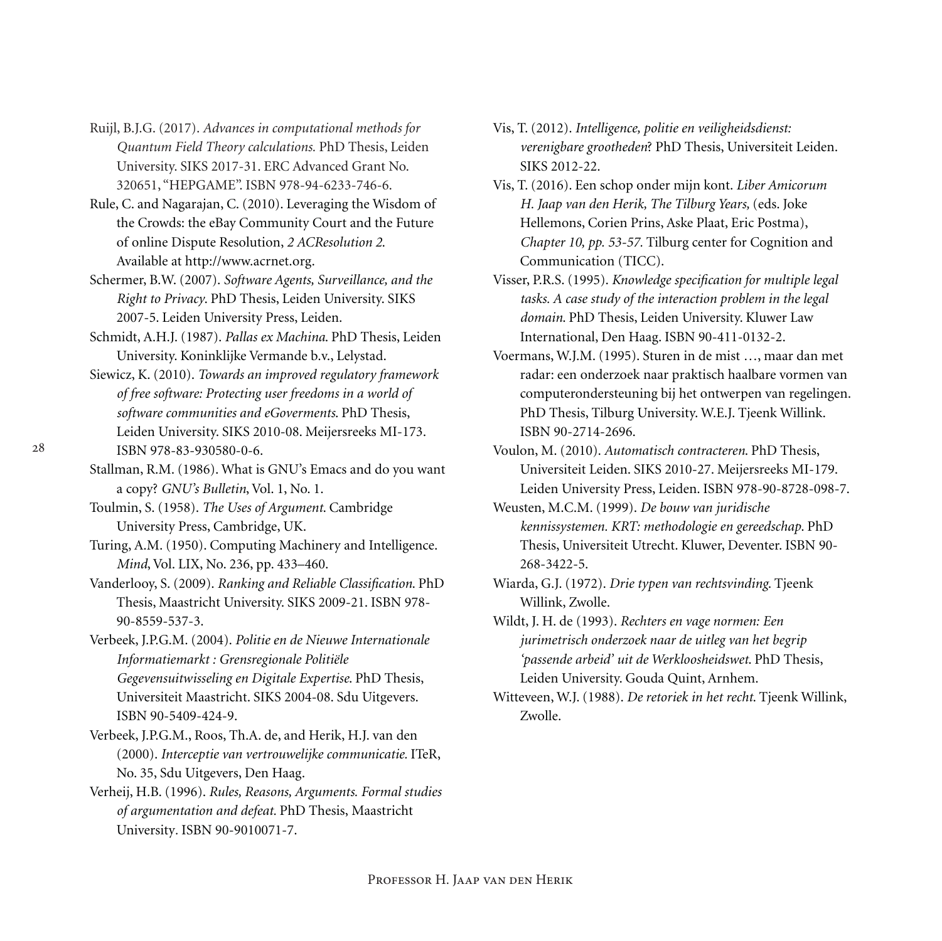- Ruijl, B.J.G. (2017). *Advances in computational methods for Quantum Field Theory calculations.* PhD Thesis, Leiden University. SIKS 2017-31. ERC Advanced Grant No. 320651, "HEPGAME". ISBN 978-94-6233-746-6.
- Rule, C. and Nagarajan, C. (2010). Leveraging the Wisdom of the Crowds: the eBay Community Court and the Future of online Dispute Resolution, *2 ACResolution 2*. Available at http://www.acrnet.org.
- Schermer, B.W. (2007). *Software Agents, Surveillance, and the Right to Privacy*. PhD Thesis, Leiden University. SIKS 2007-5. Leiden University Press, Leiden.
- Schmidt, A.H.J. (1987). *Pallas ex Machina*. PhD Thesis, Leiden University. Koninklijke Vermande b.v., Lelystad.
- Siewicz, K. (2010). *Towards an improved regulatory framework of free software: Protecting user freedoms in a world of software communities and eGoverments*. PhD Thesis, Leiden University. SIKS 2010-08. Meijersreeks MI-173. ISBN 978-83-930580-0-6.
- Stallman, R.M. (1986). What is GNU's Emacs and do you want a copy? *GNU's Bulletin*, Vol. 1, No. 1.
- Toulmin, S. (1958). *The Uses of Argument*. Cambridge University Press, Cambridge, UK.
- Turing, A.M. (1950). Computing Machinery and Intelligence. *Mind*, Vol. LIX, No. 236, pp. 433–460.
- Vanderlooy, S. (2009). *Ranking and Reliable Classification*. PhD Thesis, Maastricht University. SIKS 2009-21. ISBN 978- 90-8559-537-3.
- Verbeek, J.P.G.M. (2004). *Politie en de Nieuwe Internationale Informatiemarkt : Grensregionale Politiële Gegevensuitwisseling en Digitale Expertise*. PhD Thesis, Universiteit Maastricht. SIKS 2004-08. Sdu Uitgevers. ISBN 90-5409-424-9.
- Verbeek, J.P.G.M., Roos, Th.A. de, and Herik, H.J. van den (2000). *Interceptie van vertrouwelijke communicatie.* ITeR, No. 35, Sdu Uitgevers, Den Haag.
- Verheij, H.B. (1996). *Rules, Reasons, Arguments. Formal studies of argumentation and defeat.* PhD Thesis, Maastricht University*.* ISBN 90-9010071-7.
- Vis, T. (2012). *Intelligence, politie en veiligheidsdienst: verenigbare grootheden*? PhD Thesis, Universiteit Leiden. SIKS 2012-22.
- Vis, T. (2016). Een schop onder mijn kont. *Liber Amicorum H. Jaap van den Herik, The Tilburg Years,* (eds. Joke Hellemons, Corien Prins, Aske Plaat, Eric Postma), *Chapter 10, pp. 53-57.* Tilburg center for Cognition and Communication (TICC).
- Visser, P.R.S. (1995). *Knowledge specification for multiple legal tasks. A case study of the interaction problem in the legal domain*. PhD Thesis, Leiden University. Kluwer Law International, Den Haag. ISBN 90-411-0132-2.
- Voermans, W.J.M. (1995). Sturen in de mist …, maar dan met radar: een onderzoek naar praktisch haalbare vormen van computerondersteuning bij het ontwerpen van regelingen. PhD Thesis, Tilburg University. W.E.J. Tjeenk Willink. ISBN 90-2714-2696.
- Voulon, M. (2010). *Automatisch contracteren*. PhD Thesis, Universiteit Leiden. SIKS 2010-27. Meijersreeks MI-179. Leiden University Press, Leiden. ISBN 978-90-8728-098-7.
- Weusten, M.C.M. (1999). *De bouw van juridische kennissystemen. KRT: methodologie en gereedschap*. PhD Thesis, Universiteit Utrecht. Kluwer, Deventer. ISBN 90- 268-3422-5.
- Wiarda, G.J. (1972). *Drie typen van rechtsvinding*. Tjeenk Willink, Zwolle.
- Wildt, J. H. de (1993). *Rechters en vage normen: Een jurimetrisch onderzoek naar de uitleg van het begrip 'passende arbeid' uit de Werkloosheidswet*. PhD Thesis, Leiden University. Gouda Quint, Arnhem.
- Witteveen, W.J. (1988). *De retoriek in het recht*. Tjeenk Willink, Zwolle.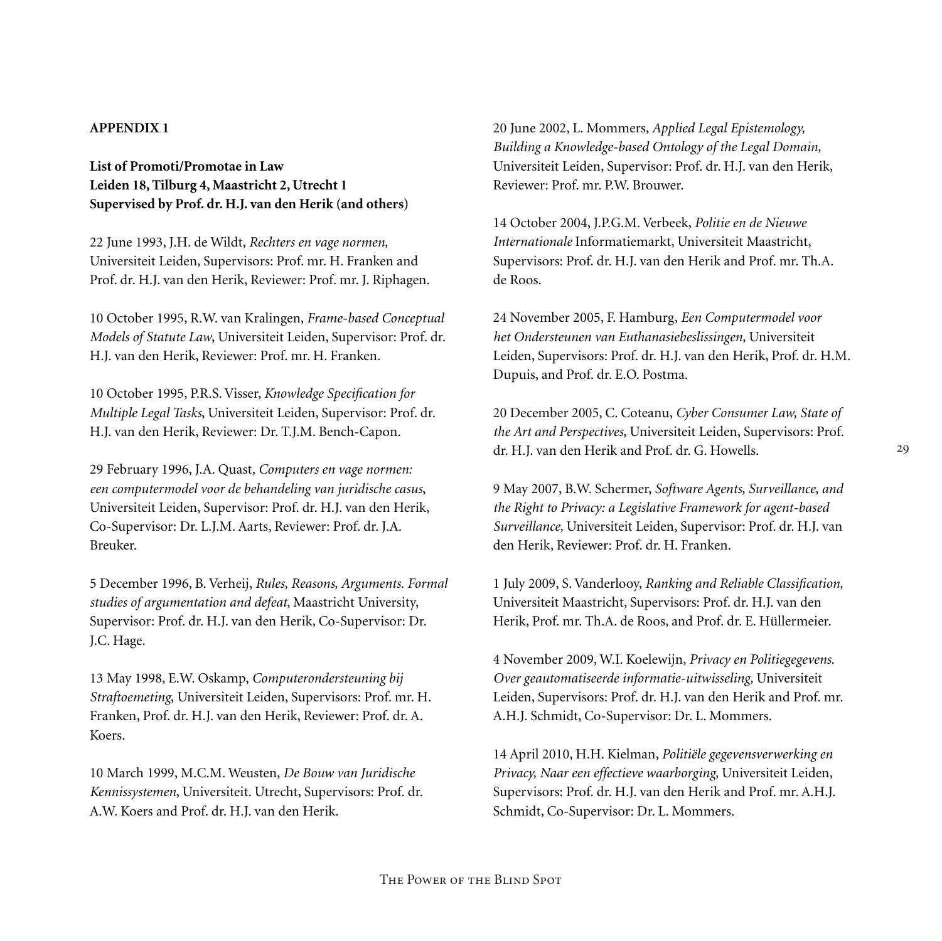#### **APPENDIX 1**

**List of Promoti/Promotae in Law Leiden 18, Tilburg 4, Maastricht 2, Utrecht 1 Supervised by Prof. dr. H.J. van den Herik (and others)**

22 June 1993, J.H. de Wildt, *Rechters en vage normen,*  Universiteit Leiden, Supervisors: Prof. mr. H. Franken and Prof. dr. H.J. van den Herik, Reviewer: Prof. mr. J. Riphagen.

10 October 1995, R.W. van Kralingen, *Frame-based Conceptual Models of Statute Law*, Universiteit Leiden, Supervisor: Prof. dr. H.J. van den Herik, Reviewer: Prof. mr. H. Franken.

10 October 1995, P.R.S. Visser, *Knowledge Specification for Multiple Legal Tasks*, Universiteit Leiden, Supervisor: Prof. dr. H.J. van den Herik, Reviewer: Dr. T.J.M. Bench-Capon.

29 February 1996, J.A. Quast, *Computers en vage normen: een computermodel voor de behandeling van juridische casus*, Universiteit Leiden, Supervisor: Prof. dr. H.J. van den Herik, Co-Supervisor: Dr. L.J.M. Aarts, Reviewer: Prof. dr. J.A. Breuker.

5 December 1996, B. Verheij, *Rules, Reasons, Arguments. Formal studies of argumentation and defeat*, Maastricht University, Supervisor: Prof. dr. H.J. van den Herik, Co-Supervisor: Dr. J.C. Hage.

13 May 1998, E.W. Oskamp, *Computerondersteuning bij Straftoemeting*, Universiteit Leiden, Supervisors: Prof. mr. H. Franken, Prof. dr. H.J. van den Herik, Reviewer: Prof. dr. A. Koers.

10 March 1999, M.C.M. Weusten, *De Bouw van Juridische Kennissystemen*, Universiteit. Utrecht, Supervisors: Prof. dr. A.W. Koers and Prof. dr. H.J. van den Herik.

20 June 2002, L. Mommers, *Applied Legal Epistemology, Building a Knowledge-based Ontology of the Legal Domain,*  Universiteit Leiden, Supervisor: Prof. dr. H.J. van den Herik, Reviewer: Prof. mr. P.W. Brouwer.

14 October 2004, J.P.G.M. Verbeek, *Politie en de Nieuwe Internationale* Informatiemarkt, Universiteit Maastricht, Supervisors: Prof. dr. H.J. van den Herik and Prof. mr. Th.A. de Roos.

24 November 2005, F. Hamburg, *Een Computermodel voor het Ondersteunen van Euthanasiebeslissingen,* Universiteit Leiden, Supervisors: Prof. dr. H.J. van den Herik, Prof. dr. H.M. Dupuis, and Prof. dr. E.O. Postma.

20 December 2005, C. Coteanu, *Cyber Consumer Law, State of the Art and Perspectives,* Universiteit Leiden, Supervisors: Prof. dr. H.J. van den Herik and Prof. dr. G. Howells.

9 May 2007, B.W. Schermer, *Software Agents, Surveillance, and the Right to Privacy: a Legislative Framework for agent-based Surveillance,* Universiteit Leiden, Supervisor: Prof. dr. H.J. van den Herik, Reviewer: Prof. dr. H. Franken.

1 July 2009, S. Vanderlooy, *Ranking and Reliable Classification,*  Universiteit Maastricht, Supervisors: Prof. dr. H.J. van den Herik, Prof. mr. Th.A. de Roos, and Prof. dr. E. Hüllermeier.

4 November 2009, W.I. Koelewijn, *Privacy en Politiegegevens. Over geautomatiseerde informatie-uitwisseling,* Universiteit Leiden, Supervisors: Prof. dr. H.J. van den Herik and Prof. mr. A.H.J. Schmidt, Co-Supervisor: Dr. L. Mommers.

14 April 2010, H.H. Kielman, *Politiële gegevensverwerking en Privacy, Naar een effectieve waarborging,* Universiteit Leiden, Supervisors: Prof. dr. H.J. van den Herik and Prof. mr. A.H.J. Schmidt, Co-Supervisor: Dr. L. Mommers.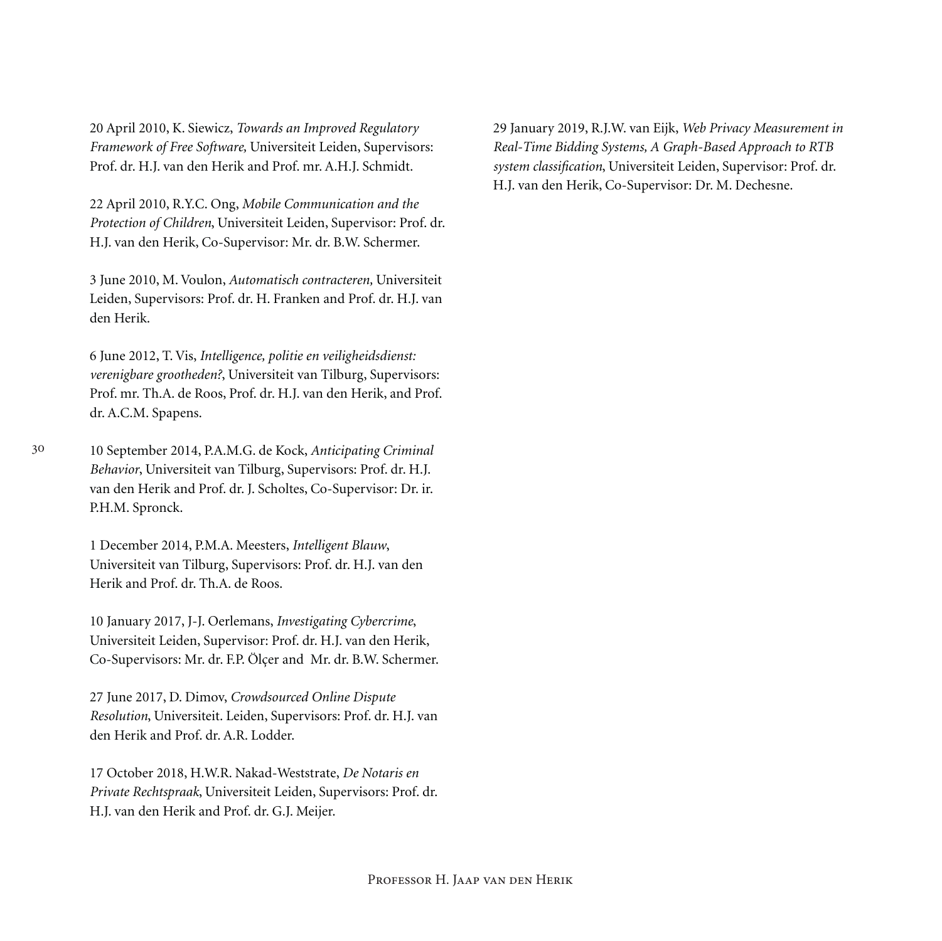20 April 2010, K. Siewicz, *Towards an Improved Regulatory Framework of Free Software,* Universiteit Leiden, Supervisors: Prof. dr. H.J. van den Herik and Prof. mr. A.H.J. Schmidt.

22 April 2010, R.Y.C. Ong, *Mobile Communication and the Protection of Children*, Universiteit Leiden, Supervisor: Prof. dr. H.J. van den Herik, Co-Supervisor: Mr. dr. B.W. Schermer.

3 June 2010, M. Voulon, *Automatisch contracteren,* Universiteit Leiden, Supervisors: Prof. dr. H. Franken and Prof. dr. H.J. van den Herik.

6 June 2012, T. Vis, *Intelligence, politie en veiligheidsdienst: verenigbare grootheden?*, Universiteit van Tilburg, Supervisors: Prof. mr. Th.A. de Roos, Prof. dr. H.J. van den Herik, and Prof. dr. A.C.M. Spapens.

10 September 2014, P.A.M.G. de Kock, *Anticipating Criminal Behavior*, Universiteit van Tilburg, Supervisors: Prof. dr. H.J. van den Herik and Prof. dr. J. Scholtes, Co-Supervisor: Dr. ir. P.H.M. Spronck.

1 December 2014, P.M.A. Meesters, *Intelligent Blauw*, Universiteit van Tilburg, Supervisors: Prof. dr. H.J. van den Herik and Prof. dr. Th.A. de Roos.

10 January 2017, J-J. Oerlemans, *Investigating Cybercrime*, Universiteit Leiden, Supervisor: Prof. dr. H.J. van den Herik, Co-Supervisors: Mr. dr. F.P. Ölçer and Mr. dr. B.W. Schermer.

27 June 2017, D. Dimov, *Crowdsourced Online Dispute Resolution*, Universiteit. Leiden, Supervisors: Prof. dr. H.J. van den Herik and Prof. dr. A.R. Lodder.

17 October 2018, H.W.R. Nakad-Weststrate, *De Notaris en Private Rechtspraak*, Universiteit Leiden, Supervisors: Prof. dr. H.J. van den Herik and Prof. dr. G.J. Meijer.

29 January 2019, R.J.W. van Eijk, *Web Privacy Measurement in Real-Time Bidding Systems, A Graph-Based Approach to RTB system classification*, Universiteit Leiden, Supervisor: Prof. dr. H.J. van den Herik, Co-Supervisor: Dr. M. Dechesne.

30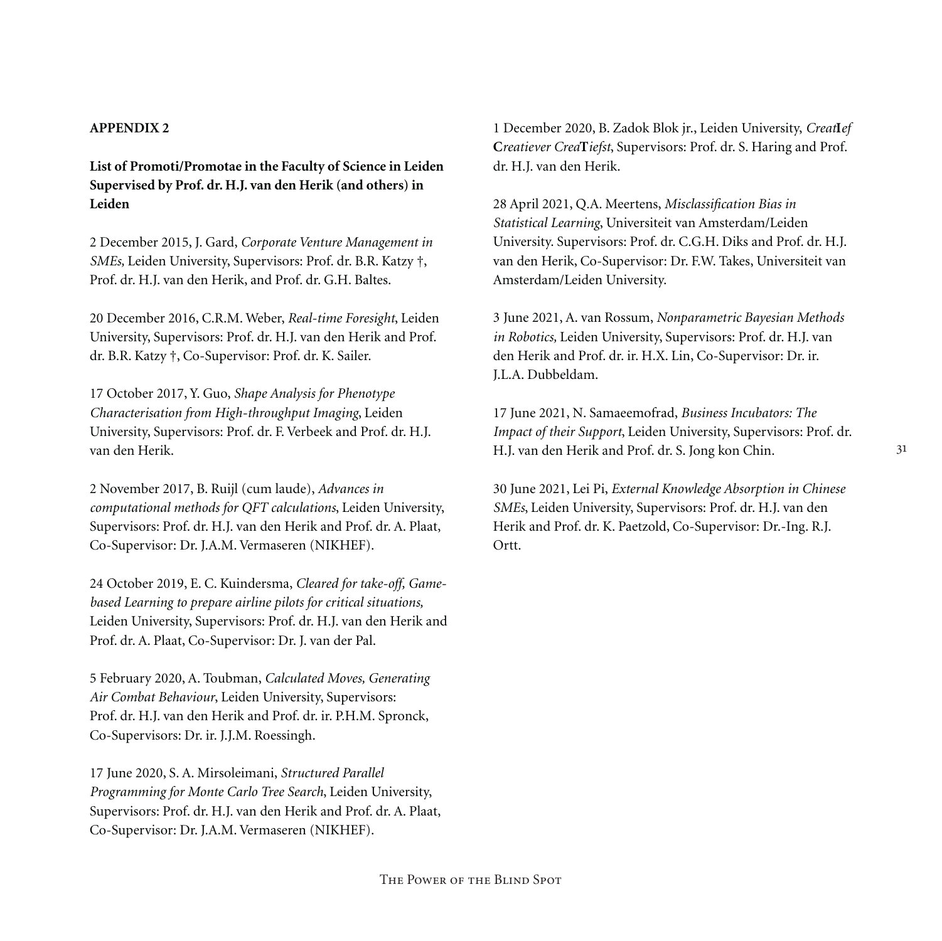## **APPENDIX 2**

**List of Promoti/Promotae in the Faculty of Science in Leiden Supervised by Prof. dr. H.J. van den Herik (and others) in Leiden**

2 December 2015, J. Gard, *Corporate Venture Management in SMEs,* Leiden University, Supervisors: Prof. dr. B.R. Katzy †, Prof. dr. H.J. van den Herik, and Prof. dr. G.H. Baltes.

20 December 2016, C.R.M. Weber, *Real-time Foresight*, Leiden University, Supervisors: Prof. dr. H.J. van den Herik and Prof. dr. B.R. Katzy †, Co-Supervisor: Prof. dr. K. Sailer.

17 October 2017, Y. Guo, *Shape Analysis for Phenotype Characterisation from High-throughput Imaging*, Leiden University, Supervisors: Prof. dr. F. Verbeek and Prof. dr. H.J. van den Herik.

2 November 2017, B. Ruijl (cum laude), *Advances in computational methods for QFT calculations*, Leiden University, Supervisors: Prof. dr. H.J. van den Herik and Prof. dr. A. Plaat, Co-Supervisor: Dr. J.A.M. Vermaseren (NIKHEF).

24 October 2019, E. C. Kuindersma, *Cleared for take-off, Gamebased Learning to prepare airline pilots for critical situations,* Leiden University, Supervisors: Prof. dr. H.J. van den Herik and Prof. dr. A. Plaat, Co-Supervisor: Dr. J. van der Pal.

5 February 2020, A. Toubman, *Calculated Moves, Generating Air Combat Behaviour*, Leiden University, Supervisors: Prof. dr. H.J. van den Herik and Prof. dr. ir. P.H.M. Spronck, Co-Supervisors: Dr. ir. J.J.M. Roessingh.

17 June 2020, S. A. Mirsoleimani, *Structured Parallel Programming for Monte Carlo Tree Search*, Leiden University, Supervisors: Prof. dr. H.J. van den Herik and Prof. dr. A. Plaat, Co-Supervisor: Dr. J.A.M. Vermaseren (NIKHEF).

1 December 2020, B. Zadok Blok jr., Leiden University, *Creat***I***ef*  **C***reatiever Crea***T***iefst*, Supervisors: Prof. dr. S. Haring and Prof. dr. H.J. van den Herik.

28 April 2021, Q.A. Meertens, *Misclassification Bias in Statistical Learning*, Universiteit van Amsterdam/Leiden University. Supervisors: Prof. dr. C.G.H. Diks and Prof. dr. H.J. van den Herik, Co-Supervisor: Dr. F.W. Takes, Universiteit van Amsterdam/Leiden University.

3 June 2021, A. van Rossum, *Nonparametric Bayesian Methods in Robotics,* Leiden University, Supervisors: Prof. dr. H.J. van den Herik and Prof. dr. ir. H.X. Lin, Co-Supervisor: Dr. ir. J.L.A. Dubbeldam.

17 June 2021, N. Samaeemofrad, *Business Incubators: The Impact of their Support*, Leiden University, Supervisors: Prof. dr. H.J. van den Herik and Prof. dr. S. Jong kon Chin.

30 June 2021, Lei Pi, *External Knowledge Absorption in Chinese SMEs*, Leiden University, Supervisors: Prof. dr. H.J. van den Herik and Prof. dr. K. Paetzold, Co-Supervisor: Dr.-Ing. R.J. Ortt.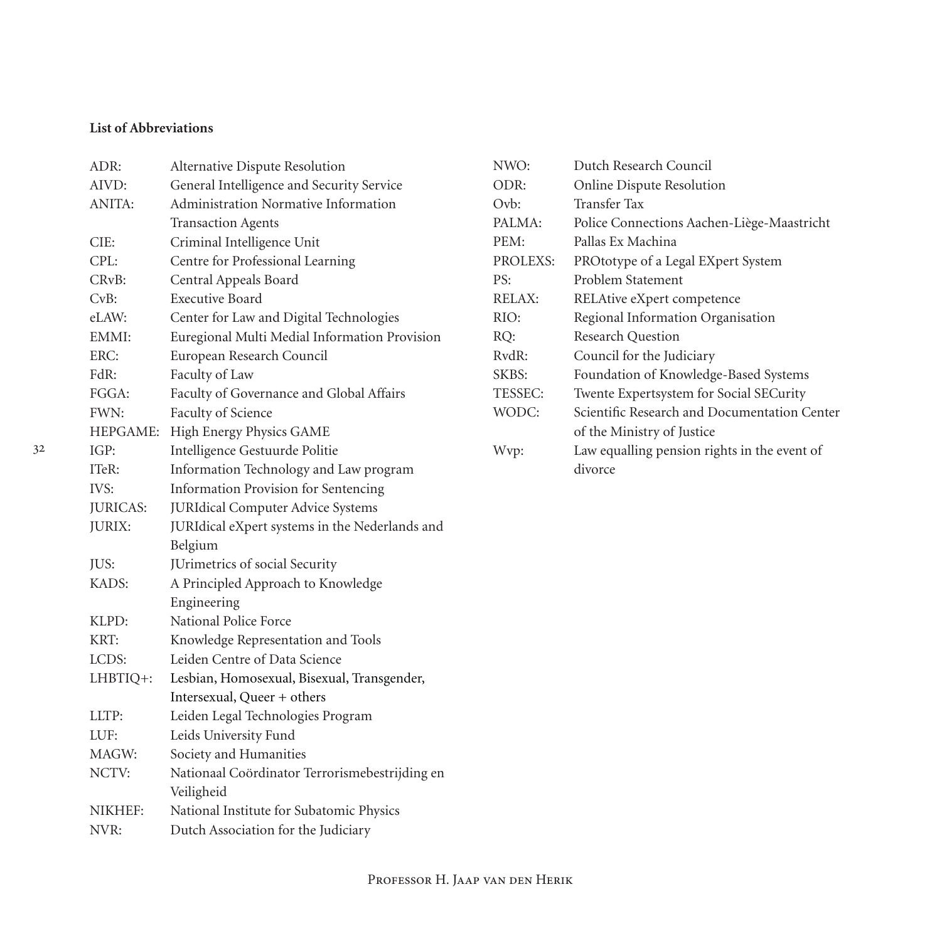## **List of Abbreviations**

| ADR:            | Alternative Dispute Resolution                 |
|-----------------|------------------------------------------------|
| AIVD:           | General Intelligence and Security Service      |
| ANITA:          | Administration Normative Information           |
|                 | <b>Transaction Agents</b>                      |
| CIE:            | Criminal Intelligence Unit                     |
| CPL:            | Centre for Professional Learning               |
| CRvB:           | Central Appeals Board                          |
| CvB:            | <b>Executive Board</b>                         |
| eLAW:           | Center for Law and Digital Technologies        |
| EMMI:           | Euregional Multi Medial Information Provision  |
| ERC:            | European Research Council                      |
| FdR:            | Faculty of Law                                 |
| FGGA:           | Faculty of Governance and Global Affairs       |
| FWN:            | Faculty of Science                             |
| HEPGAME:        | High Energy Physics GAME                       |
| IGP:            | Intelligence Gestuurde Politie                 |
| ITeR:           | Information Technology and Law program         |
| IVS:            | Information Provision for Sentencing           |
| <b>JURICAS:</b> | <b>JURIdical Computer Advice Systems</b>       |
| JURIX:          | JURIdical eXpert systems in the Nederlands and |
|                 | Belgium                                        |
| JUS:            | JUrimetrics of social Security                 |
| KADS:           | A Principled Approach to Knowledge             |
|                 | Engineering                                    |
| KLPD:           | National Police Force                          |
| KRT:            | Knowledge Representation and Tools             |
| LCDS:           | Leiden Centre of Data Science                  |
| LHBTIQ+:        | Lesbian, Homosexual, Bisexual, Transgender,    |
|                 | Intersexual, Queer + others                    |
| LLTP:           | Leiden Legal Technologies Program              |
| LUF:            | Leids University Fund                          |
| MAGW:           | Society and Humanities                         |
| NCTV:           | Nationaal Coördinator Terrorismebestrijding en |
|                 | Veiligheid                                     |
| NIKHEF:         | National Institute for Subatomic Physics       |
| NVR:            | Dutch Association for the Judiciary            |

| NWO:           | Dutch Research Council                       |
|----------------|----------------------------------------------|
| ODR:           | Online Dispute Resolution                    |
| Ovb:           | <b>Transfer Tax</b>                          |
| PALMA:         | Police Connections Aachen-Liège-Maastricht   |
| PEM:           | Pallas Ex Machina                            |
| PROLEXS:       | PROtotype of a Legal EXpert System           |
| PS:            | Problem Statement                            |
| RELAX:         | RELAtive eXpert competence                   |
| RIO:           | Regional Information Organisation            |
| RO:            | <b>Research Ouestion</b>                     |
| RvdR:          | Council for the Judiciary                    |
| SKBS:          | Foundation of Knowledge-Based Systems        |
| <b>TESSEC:</b> | Twente Expertsystem for Social SECurity      |
| WODC:          | Scientific Research and Documentation Center |
|                | of the Ministry of Justice                   |
| Wvp:           | Law equalling pension rights in the event of |
|                | divorce                                      |